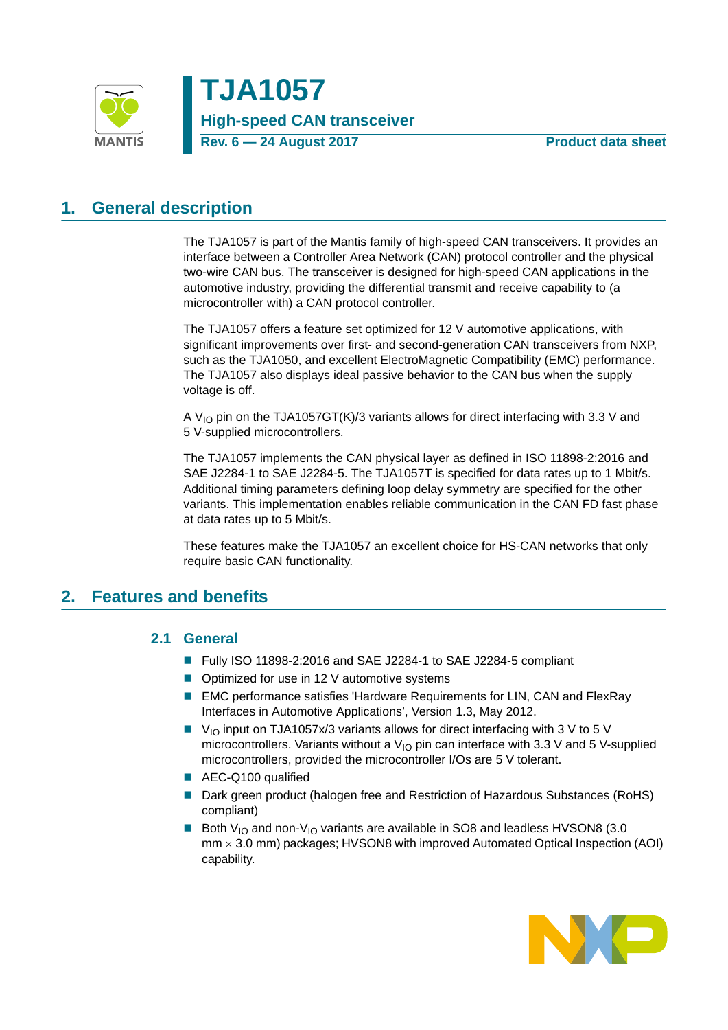

# <span id="page-0-1"></span>**1. General description**

The TJA1057 is part of the Mantis family of high-speed CAN transceivers. It provides an interface between a Controller Area Network (CAN) protocol controller and the physical two-wire CAN bus. The transceiver is designed for high-speed CAN applications in the automotive industry, providing the differential transmit and receive capability to (a microcontroller with) a CAN protocol controller.

The TJA1057 offers a feature set optimized for 12 V automotive applications, with significant improvements over first- and second-generation CAN transceivers from NXP, such as the TJA1050, and excellent ElectroMagnetic Compatibility (EMC) performance. The TJA1057 also displays ideal passive behavior to the CAN bus when the supply voltage is off.

A  $V_{1O}$  pin on the TJA1057GT(K)/3 variants allows for direct interfacing with 3.3 V and 5 V-supplied microcontrollers.

The TJA1057 implements the CAN physical layer as defined in ISO 11898-2:2016 and SAE J2284-1 to SAE J2284-5. The TJA1057T is specified for data rates up to 1 Mbit/s. Additional timing parameters defining loop delay symmetry are specified for the other variants. This implementation enables reliable communication in the CAN FD fast phase at data rates up to 5 Mbit/s.

These features make the TJA1057 an excellent choice for HS-CAN networks that only require basic CAN functionality.

### <span id="page-0-2"></span><span id="page-0-0"></span>**2. Features and benefits**

### **2.1 General**

- Fully ISO 11898-2:2016 and SAE J2284-1 to SAE J2284-5 compliant
- Optimized for use in 12 V automotive systems
- EMC performance satisfies 'Hardware Requirements for LIN, CAN and FlexRay Interfaces in Automotive Applications', Version 1.3, May 2012.
- $\blacksquare$  V<sub>IO</sub> input on TJA1057x/3 variants allows for direct interfacing with 3 V to 5 V microcontrollers. Variants without a  $V_{10}$  pin can interface with 3.3 V and 5 V-supplied microcontrollers, provided the microcontroller I/Os are 5 V tolerant.
- AEC-Q100 qualified
- Dark green product (halogen free and Restriction of Hazardous Substances (RoHS) compliant)
- Both V<sub>IO</sub> and non-V<sub>IO</sub> variants are available in SO8 and leadless HVSON8 (3.0)  $mm \times 3.0$  mm) packages; HVSON8 with improved Automated Optical Inspection (AOI) capability.

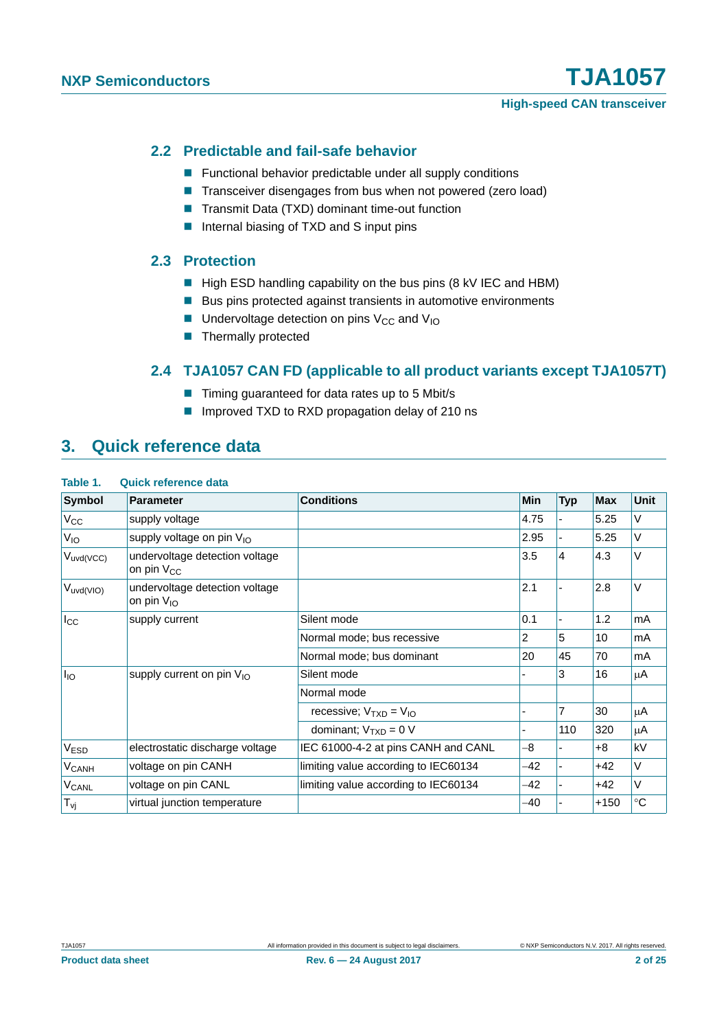### <span id="page-1-0"></span>**2.2 Predictable and fail-safe behavior**

- **Functional behavior predictable under all supply conditions**
- Transceiver disengages from bus when not powered (zero load)
- Transmit Data (TXD) dominant time-out function
- Internal biasing of TXD and S input pins

### <span id="page-1-1"></span>**2.3 Protection**

- $\blacksquare$  High ESD handling capability on the bus pins (8 kV IEC and HBM)
- Bus pins protected against transients in automotive environments
- **Undervoltage detection on pins V<sub>CC</sub> and V<sub>IO</sub>**
- Thermally protected

### **2.4 TJA1057 CAN FD (applicable to all product variants except TJA1057T)**

- Timing guaranteed for data rates up to 5 Mbit/s
- Improved TXD to RXD propagation delay of 210 ns

### <span id="page-1-3"></span><span id="page-1-2"></span>**3. Quick reference data**

| Symbol                  | <b>Parameter</b>                                  | <b>Conditions</b>                    | Min  | <b>Typ</b>     | <b>Max</b> | <b>Unit</b> |
|-------------------------|---------------------------------------------------|--------------------------------------|------|----------------|------------|-------------|
| $V_{\rm CC}$            | supply voltage                                    |                                      | 4.75 |                | 5.25       | V           |
| V <sub>IO</sub>         | supply voltage on pin V <sub>IO</sub>             |                                      | 2.95 |                | 5.25       | V           |
| $V_{uvd(VCC)}$          | undervoltage detection voltage<br>on pin $V_{CC}$ |                                      | 3.5  | $\overline{4}$ | 4.3        | V           |
| $V_{uvd(VIO)}$          | undervoltage detection voltage<br>on pin $V_{10}$ |                                      | 2.1  |                | 2.8        | V           |
| $I_{\rm CC}$            | supply current                                    | Silent mode                          | 0.1  |                | 1.2        | mA          |
|                         |                                                   | Normal mode; bus recessive           | 2    | 5              | 10         | mA          |
|                         |                                                   | Normal mode; bus dominant            | 20   | 45             | 70         | mA          |
| l <sub>IO</sub>         | supply current on pin V <sub>IO</sub>             | Silent mode                          |      | 3              | 16         | μA          |
|                         |                                                   | Normal mode                          |      |                |            |             |
|                         |                                                   | recessive; $V_{TXD} = V_{IO}$        |      | $\overline{7}$ | 30         | μA          |
|                         |                                                   | dominant; $V_{TXD} = 0 V$            |      | 110            | 320        | μA          |
| V <sub>ESD</sub>        | electrostatic discharge voltage                   | IEC 61000-4-2 at pins CANH and CANL  | -8   |                | $+8$       | kV          |
| <b>V<sub>CANH</sub></b> | voltage on pin CANH                               | limiting value according to IEC60134 | -42  |                | $+42$      | V           |
| V <sub>CANL</sub>       | voltage on pin CANL                               | limiting value according to IEC60134 | -42  |                | $+42$      | V           |
| $T_{\mathsf{vj}}$       | virtual junction temperature                      |                                      | -40  |                | $+150$     | $^{\circ}C$ |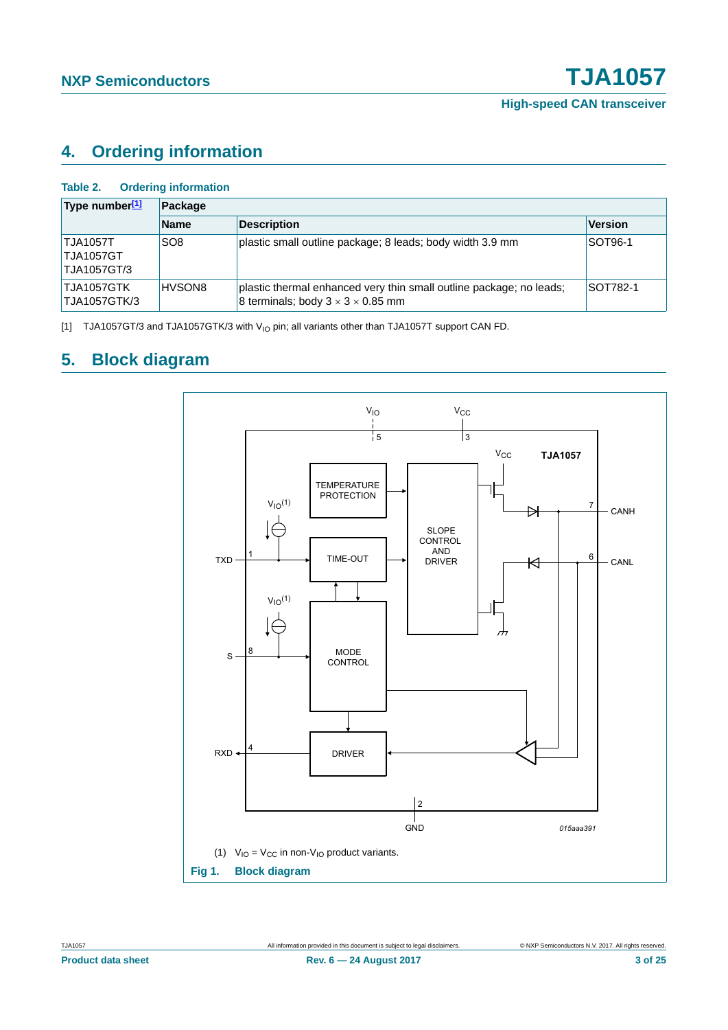# <span id="page-2-3"></span>**4. Ordering information**

<span id="page-2-2"></span>

| <b>Ordering information</b><br>Table 2.            |                 |                                                                                                                      |                 |  |  |  |  |
|----------------------------------------------------|-----------------|----------------------------------------------------------------------------------------------------------------------|-----------------|--|--|--|--|
| Type number[1]                                     | Package         |                                                                                                                      |                 |  |  |  |  |
|                                                    | <b>Name</b>     | <b>Description</b>                                                                                                   | <b>Version</b>  |  |  |  |  |
| <b>TJA1057T</b><br><b>TJA1057GT</b><br>TJA1057GT/3 | SO <sub>8</sub> | plastic small outline package; 8 leads; body width 3.9 mm                                                            | <b>SOT96-1</b>  |  |  |  |  |
| TJA1057GTK<br>TJA1057GTK/3                         | HVSON8          | plastic thermal enhanced very thin small outline package; no leads;<br>8 terminals; body $3 \times 3 \times 0.85$ mm | <b>SOT782-1</b> |  |  |  |  |

<span id="page-2-0"></span>[1] TJA1057GT/3 and TJA1057GTK/3 with V<sub>IO</sub> pin; all variants other than TJA1057T support CAN FD.

# <span id="page-2-4"></span>**5. Block diagram**

<span id="page-2-1"></span>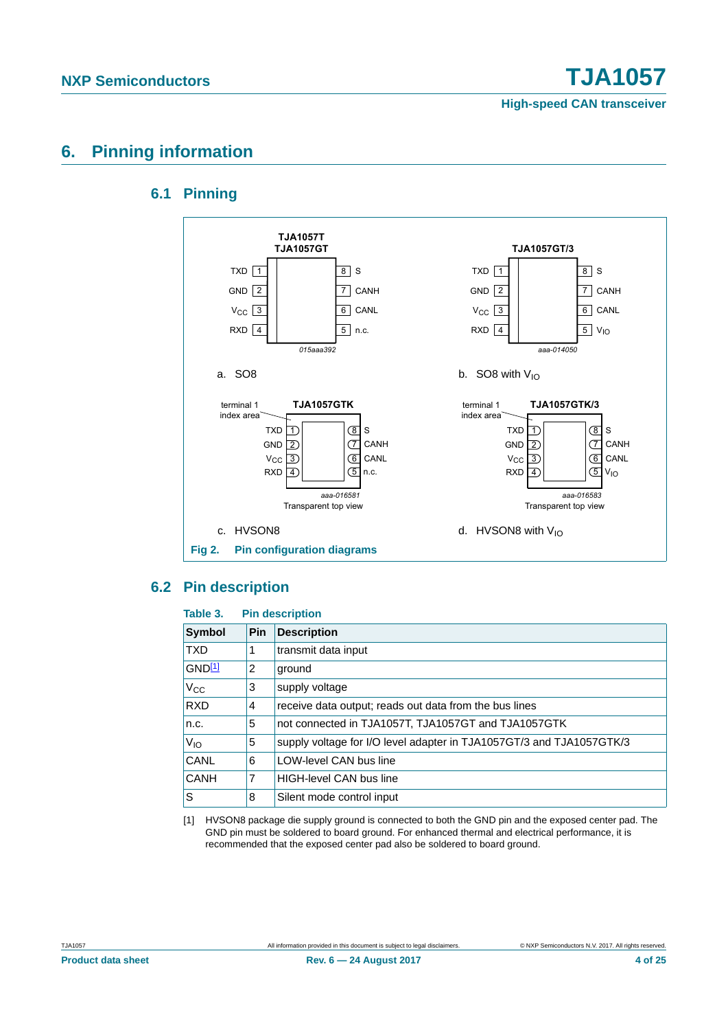# <span id="page-3-2"></span><span id="page-3-1"></span>**6. Pinning information**

### **6.1 Pinning**



### <span id="page-3-3"></span>**6.2 Pin description**

#### **Table 3. Pin description**

| Symbol      | <b>Pin</b>     | <b>Description</b>                                                   |
|-------------|----------------|----------------------------------------------------------------------|
| <b>TXD</b>  |                | transmit data input                                                  |
| GND11       | $\overline{2}$ | ground                                                               |
| $V_{CC}$    | 3              | supply voltage                                                       |
| <b>RXD</b>  | 4              | receive data output; reads out data from the bus lines               |
| n.c.        | 5              | not connected in TJA1057T, TJA1057GT and TJA1057GTK                  |
| $V_{IO}$    | 5              | supply voltage for I/O level adapter in TJA1057GT/3 and TJA1057GTK/3 |
| <b>CANL</b> | 6              | LOW-level CAN bus line                                               |
| <b>CANH</b> | 7              | <b>HIGH-level CAN bus line</b>                                       |
| ls          | 8              | Silent mode control input                                            |

<span id="page-3-0"></span>[1] HVSON8 package die supply ground is connected to both the GND pin and the exposed center pad. The GND pin must be soldered to board ground. For enhanced thermal and electrical performance, it is recommended that the exposed center pad also be soldered to board ground.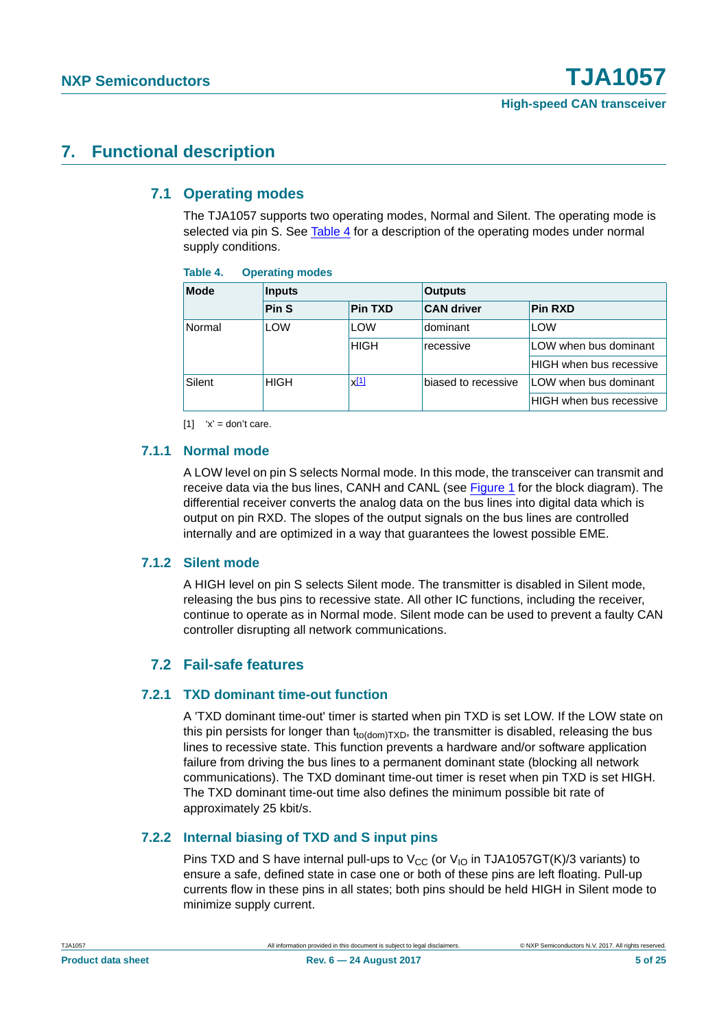## <span id="page-4-3"></span><span id="page-4-2"></span>**7. Functional description**

### **7.1 Operating modes**

The TJA1057 supports two operating modes, Normal and Silent. The operating mode is selected via pin S. See [Table 4](#page-4-0) for a description of the operating modes under normal supply conditions.

#### <span id="page-4-0"></span>**Table 4. Operating modes**

| <b>Mode</b> | <b>Inputs</b>            |                | <b>Outputs</b>    |                                |                     |                       |
|-------------|--------------------------|----------------|-------------------|--------------------------------|---------------------|-----------------------|
|             | Pin <sub>S</sub>         | <b>Pin TXD</b> | <b>CAN driver</b> | <b>Pin RXD</b>                 |                     |                       |
| Normal      | <b>LOW</b>               | LOW            | dominant          | LOW                            |                     |                       |
|             |                          | <b>HIGH</b>    | recessive         | LOW when bus dominant          |                     |                       |
|             |                          |                |                   | <b>HIGH</b> when bus recessive |                     |                       |
| Silent      | $x^{[1]}$<br><b>HIGH</b> |                |                   |                                | biased to recessive | LOW when bus dominant |
|             |                          |                |                   | HIGH when bus recessive        |                     |                       |

<span id="page-4-1"></span> $[1]$  'x' = don't care.

### <span id="page-4-4"></span>**7.1.1 Normal mode**

A LOW level on pin S selects Normal mode. In this mode, the transceiver can transmit and receive data via the bus lines, CANH and CANL (see [Figure 1](#page-2-1) for the block diagram). The differential receiver converts the analog data on the bus lines into digital data which is output on pin RXD. The slopes of the output signals on the bus lines are controlled internally and are optimized in a way that guarantees the lowest possible EME.

### <span id="page-4-5"></span>**7.1.2 Silent mode**

A HIGH level on pin S selects Silent mode. The transmitter is disabled in Silent mode, releasing the bus pins to recessive state. All other IC functions, including the receiver, continue to operate as in Normal mode. Silent mode can be used to prevent a faulty CAN controller disrupting all network communications.

### **7.2 Fail-safe features**

### <span id="page-4-7"></span><span id="page-4-6"></span>**7.2.1 TXD dominant time-out function**

A 'TXD dominant time-out' timer is started when pin TXD is set LOW. If the LOW state on this pin persists for longer than  $t_{\text{to}\text{(dom)}\text{TXD}}$ , the transmitter is disabled, releasing the bus lines to recessive state. This function prevents a hardware and/or software application failure from driving the bus lines to a permanent dominant state (blocking all network communications). The TXD dominant time-out timer is reset when pin TXD is set HIGH. The TXD dominant time-out time also defines the minimum possible bit rate of approximately 25 kbit/s.

### <span id="page-4-8"></span>**7.2.2 Internal biasing of TXD and S input pins**

Pins TXD and S have internal pull-ups to  $V_{CC}$  (or  $V_{IO}$  in TJA1057GT(K)/3 variants) to ensure a safe, defined state in case one or both of these pins are left floating. Pull-up currents flow in these pins in all states; both pins should be held HIGH in Silent mode to minimize supply current.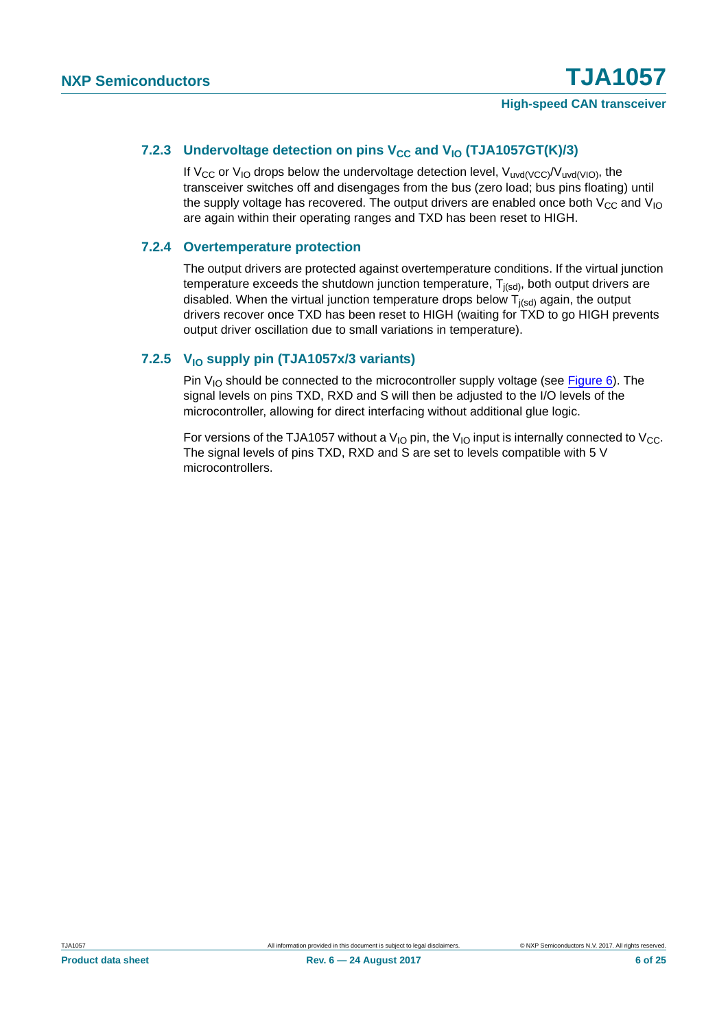### <span id="page-5-0"></span>7.2.3 Undervoltage detection on pins V<sub>CC</sub> and V<sub>IO</sub> (TJA1057GT(K)/3)

If V<sub>CC</sub> or V<sub>IO</sub> drops below the undervoltage detection level, V<sub>uvd(VCC)</sub>/V<sub>uvd(VIO</sub>), the transceiver switches off and disengages from the bus (zero load; bus pins floating) until the supply voltage has recovered. The output drivers are enabled once both  $V_{CC}$  and  $V_{IO}$ are again within their operating ranges and TXD has been reset to HIGH.

### <span id="page-5-1"></span>**7.2.4 Overtemperature protection**

The output drivers are protected against overtemperature conditions. If the virtual junction temperature exceeds the shutdown junction temperature,  $T_{j(sd)}$ , both output drivers are disabled. When the virtual junction temperature drops below  $T_{i(sd)}$  again, the output drivers recover once TXD has been reset to HIGH (waiting for TXD to go HIGH prevents output driver oscillation due to small variations in temperature).

### <span id="page-5-2"></span>7.2.5 V<sub>IO</sub> supply pin (TJA1057x/3 variants)

Pin  $V_{10}$  should be connected to the microcontroller supply voltage (see [Figure 6](#page-12-0)). The signal levels on pins TXD, RXD and S will then be adjusted to the I/O levels of the microcontroller, allowing for direct interfacing without additional glue logic.

For versions of the TJA1057 without a V<sub>IO</sub> pin, the V<sub>IO</sub> input is internally connected to V<sub>CC</sub>. The signal levels of pins TXD, RXD and S are set to levels compatible with 5 V microcontrollers.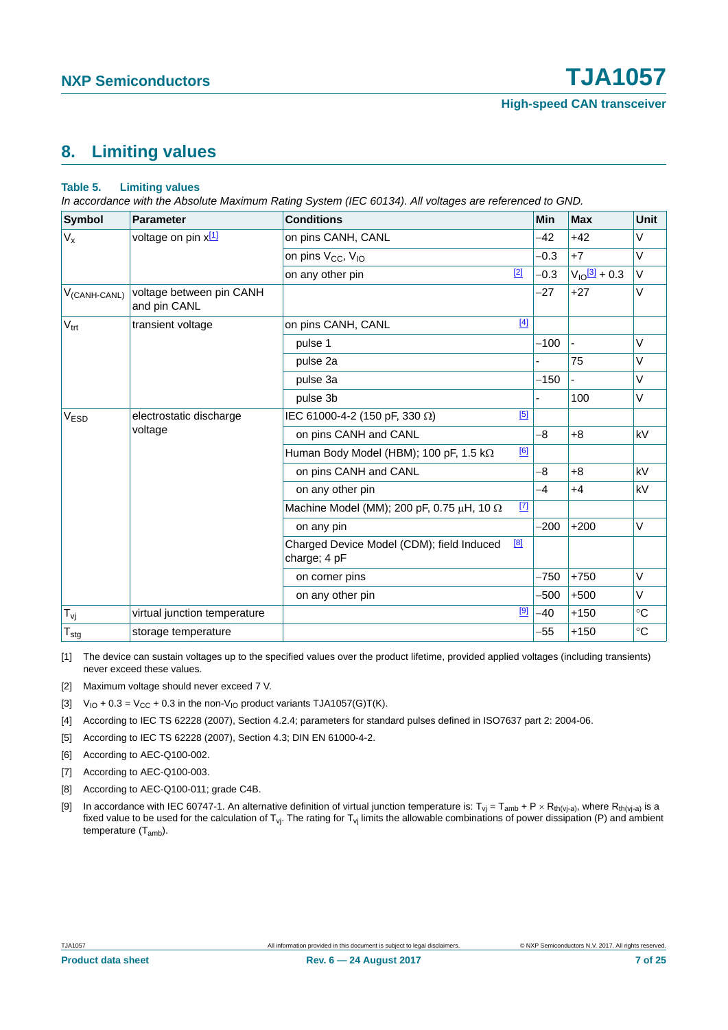# <span id="page-6-10"></span>**8. Limiting values**

#### <span id="page-6-9"></span>**Table 5. Limiting values**

*In accordance with the Absolute Maximum Rating System (IEC 60134). All voltages are referenced to GND.*

| Symbol                     | <b>Parameter</b>                         | <b>Conditions</b>                                         |             | Min    | <b>Max</b>                   | Unit        |
|----------------------------|------------------------------------------|-----------------------------------------------------------|-------------|--------|------------------------------|-------------|
| $V_{x}$                    | voltage on pin x[1]                      | on pins CANH, CANL                                        |             | $-42$  | $+42$                        | $\vee$      |
|                            |                                          | on pins V <sub>CC</sub> , V <sub>IO</sub>                 |             | $-0.3$ | $+7$                         | $\vee$      |
|                            |                                          | on any other pin                                          | $[2]$       | $-0.3$ | $V_{10}$ $\frac{3}{1}$ + 0.3 | $\vee$      |
| $V_{(CANH-CANL)}$          | voltage between pin CANH<br>and pin CANL |                                                           |             | $-27$  | $+27$                        | $\vee$      |
| $V_{\text{trt}}$           | transient voltage                        | on pins CANH, CANL                                        | $[4]$       |        |                              |             |
|                            |                                          | pulse 1                                                   |             | $-100$ |                              | $\vee$      |
|                            |                                          | pulse 2a                                                  |             |        | 75                           | $\vee$      |
|                            |                                          | pulse 3a                                                  |             | $-150$ |                              | $\vee$      |
|                            |                                          | pulse 3b                                                  |             |        | 100                          | $\vee$      |
| V <sub>ESD</sub>           | electrostatic discharge<br>voltage       | IEC 61000-4-2 (150 pF, 330 Ω)                             | [5]         |        |                              |             |
|                            |                                          | on pins CANH and CANL                                     |             | -8     | $+8$                         | kV          |
|                            |                                          | Human Body Model (HBM); 100 pF, 1.5 k $\Omega$            | [6]         |        |                              |             |
|                            |                                          | on pins CANH and CANL                                     |             | -8     | $+8$                         | kV          |
|                            |                                          | on any other pin                                          |             | -4     | $+4$                         | kV          |
|                            |                                          | Machine Model (MM); 200 pF, 0.75 $\mu$ H, 10 $\Omega$     | $\boxed{7}$ |        |                              |             |
|                            |                                          | on any pin                                                |             | $-200$ | $+200$                       | $\vee$      |
|                            |                                          | Charged Device Model (CDM); field Induced<br>charge; 4 pF | [8]         |        |                              |             |
|                            |                                          | on corner pins                                            |             | $-750$ | $+750$                       | $\vee$      |
|                            |                                          | on any other pin                                          |             | -500   | $+500$                       | $\vee$      |
| $T_{\nu j}$                | virtual junction temperature             |                                                           | $[9]$       | $-40$  | $+150$                       | $^{\circ}C$ |
| ${\mathsf T}_{\text{stg}}$ | storage temperature                      |                                                           |             | -55    | $+150$                       | $^{\circ}C$ |

<span id="page-6-8"></span>[1] The device can sustain voltages up to the specified values over the product lifetime, provided applied voltages (including transients) never exceed these values.

- <span id="page-6-0"></span>[2] Maximum voltage should never exceed 7 V.
- <span id="page-6-1"></span>[3]  $V_{10} + 0.3 = V_{CC} + 0.3$  in the non-V<sub>IO</sub> product variants TJA1057(G)T(K).
- <span id="page-6-2"></span>[4] According to IEC TS 62228 (2007), Section 4.2.4; parameters for standard pulses defined in ISO7637 part 2: 2004-06.
- <span id="page-6-3"></span>[5] According to IEC TS 62228 (2007), Section 4.3; DIN EN 61000-4-2.
- <span id="page-6-4"></span>[6] According to AEC-Q100-002.
- <span id="page-6-5"></span>[7] According to AEC-Q100-003.
- <span id="page-6-6"></span>[8] According to AEC-Q100-011; grade C4B.
- <span id="page-6-7"></span>[9] In accordance with IEC 60747-1. An alternative definition of virtual junction temperature is:  $T_{vj} = T_{amb} + P \times R_{th(v_j-a)}$ , where  $R_{th(v_j-a)}$  is a fixed value to be used for the calculation of  $T_{vj}$ . The rating for  $T_{vj}$  limits the allowable combinations of power dissipation (P) and ambient temperature (T<sub>amb</sub>).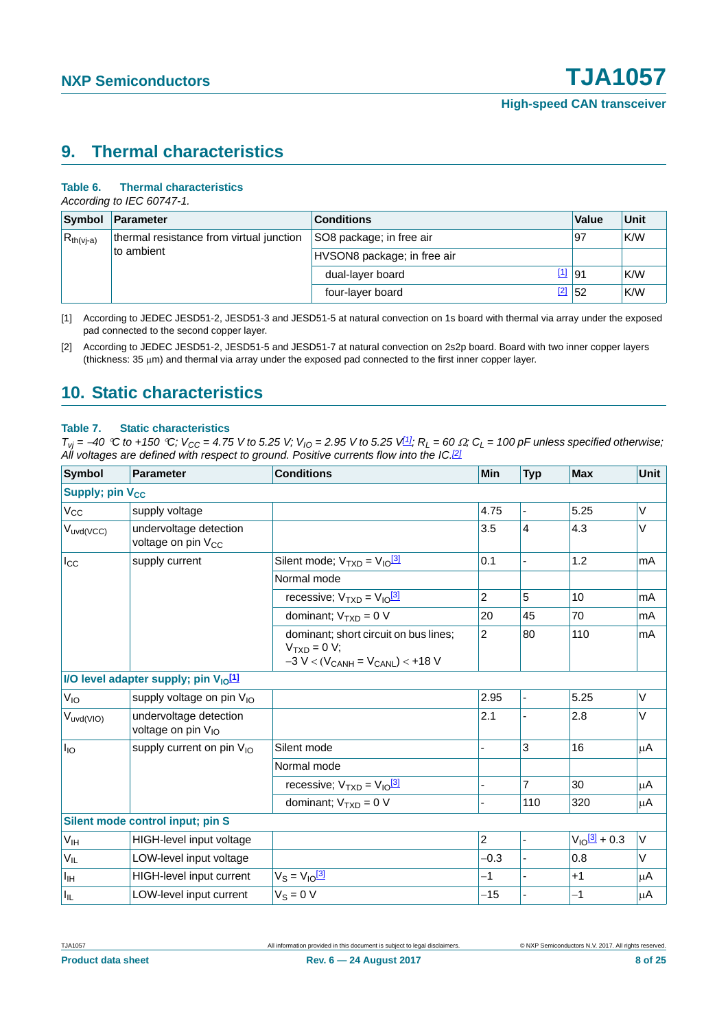## <span id="page-7-3"></span>**9. Thermal characteristics**

#### **Table 6. Thermal characteristics**

*According to IEC 60747-1.*

|                                                                          | Symbol Parameter | <b>Conditions</b>           | Value   | Unit |
|--------------------------------------------------------------------------|------------------|-----------------------------|---------|------|
| thermal resistance from virtual junction<br>$R_{th(vj-a)}$<br>to ambient |                  | SO8 package; in free air    | 97      | K/W  |
|                                                                          |                  | HVSON8 package; in free air |         |      |
|                                                                          |                  | dual-layer board            | $11$ 91 | K/W  |
|                                                                          |                  | four-layer board            | $2$ 52  | K/W  |

<span id="page-7-0"></span>[1] According to JEDEC JESD51-2, JESD51-3 and JESD51-5 at natural convection on 1s board with thermal via array under the exposed pad connected to the second copper layer.

# <span id="page-7-4"></span>**10. Static characteristics**

#### <span id="page-7-2"></span>**Table 7. Static characteristics**

 $T_{vi} = -40$  °C to +150 °C;  $V_{CC} = 4.75$  V to 5.25 V;  $V_{IO} = 2.95$  V to 5.25  $V_{III}$ ;  $R_L = 60 \Omega$ ;  $C_L = 100$  pF unless specified otherwise; *All voltages are defined with respect to ground. Positive currents flow into the IC[.\[2\]](#page-9-1)*

| <b>Symbol</b>               | <b>Parameter</b>                                         | <b>Conditions</b>                                                                                | Min            | <b>Typ</b> | <b>Max</b>                   | <b>Unit</b>  |
|-----------------------------|----------------------------------------------------------|--------------------------------------------------------------------------------------------------|----------------|------------|------------------------------|--------------|
| Supply; pin V <sub>CC</sub> |                                                          |                                                                                                  |                |            |                              |              |
| $V_{CC}$                    | supply voltage                                           |                                                                                                  | 4.75           |            | 5.25                         | V            |
| $V_{uvd(VCC)}$              | undervoltage detection<br>voltage on pin V <sub>CC</sub> |                                                                                                  | 3.5            | 4          | 4.3                          | V            |
| $I_{\rm CC}$                | supply current                                           | Silent mode; $V_{TXD} = V_{10}^{3}$                                                              | 0.1            |            | 1.2                          | mA           |
|                             |                                                          | Normal mode                                                                                      |                |            |                              |              |
|                             |                                                          | recessive; $V_{TXD} = V_{10}^{3}$                                                                | $\overline{2}$ | 5          | 10                           | mA           |
|                             |                                                          | dominant; $V_{TXD} = 0 V$                                                                        | 20             | 45         | 70                           | mA           |
|                             |                                                          | dominant; short circuit on bus lines;<br>$VTXD = 0 V;$<br>$-3 V < (V_{CANH} = V_{CANL}) < +18 V$ | $\overline{2}$ | 80         | 110                          | mA           |
|                             | I/O level adapter supply; pin $V_{10}$ <sup>[1]</sup>    |                                                                                                  |                |            |                              |              |
| $V_{IO}$                    | supply voltage on pin V <sub>IO</sub>                    |                                                                                                  | 2.95           | ÷,         | 5.25                         | V            |
| $V_{uvd(VIO)}$              | undervoltage detection<br>voltage on pin V <sub>IO</sub> |                                                                                                  | 2.1            |            | 2.8                          | V            |
| $I_{IO}$                    | supply current on pin $V_{10}$                           | Silent mode                                                                                      |                | 3          | 16                           | μA           |
|                             |                                                          | Normal mode                                                                                      |                |            |                              |              |
|                             |                                                          | recessive; $V_{TXD} = V_{10}^{3}$                                                                |                | 7          | 30                           | μA           |
|                             |                                                          | dominant; $V_{TXD} = 0 V$                                                                        |                | 110        | 320                          | μA           |
|                             | Silent mode control input; pin S                         |                                                                                                  |                |            |                              |              |
| V <sub>IH</sub>             | HIGH-level input voltage                                 |                                                                                                  | $\overline{c}$ | ٠          | $V_{10}$ $\frac{3}{3}$ + 0.3 | $\mathsf{V}$ |
| $V_{IL}$                    | LOW-level input voltage                                  |                                                                                                  | $-0.3$         |            | 0.8                          | V            |
| Iщ                          | HIGH-level input current                                 | $V_S = V_{10}^{3}$                                                                               | $-1$           |            | $+1$                         | μA           |
| $I_{\parallel L}$           | LOW-level input current                                  | $V_S = 0 V$                                                                                      | $-15$          |            | $-1$                         | μA           |

<span id="page-7-1"></span><sup>[2]</sup> According to JEDEC JESD51-2, JESD51-5 and JESD51-7 at natural convection on 2s2p board. Board with two inner copper layers (thickness:  $35 \mu m$ ) and thermal via array under the exposed pad connected to the first inner copper layer.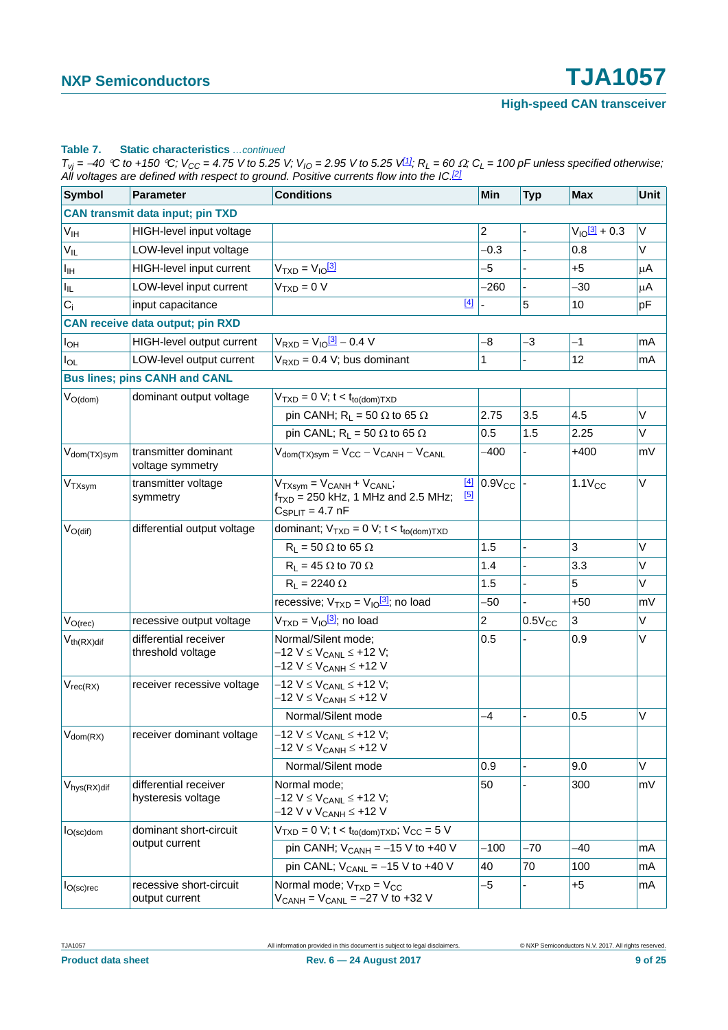#### **Table 7. Static characteristics** *…continued*

 $T_{Vj}$  = -40 °C to +150 °C;  $V_{CC}$  = 4.75 V to 5.25 V;  $V_{IO}$  = 2.95 V to 5.25 V $1/2$ ;  $R_L$  = 60  $\Omega$ ;  $C_L$  = 100 pF unless specified otherwise; *All voltages are defined with respect to ground. Positive currents flow into the IC.[2]*

| <b>Symbol</b>            | <b>Parameter</b>                            | <b>Conditions</b>                                                                                                            | Min            | <b>Typ</b>  | <b>Max</b>                   | <b>Unit</b> |
|--------------------------|---------------------------------------------|------------------------------------------------------------------------------------------------------------------------------|----------------|-------------|------------------------------|-------------|
|                          | <b>CAN transmit data input; pin TXD</b>     |                                                                                                                              |                |             |                              |             |
| $V_{\text{IH}}$          | HIGH-level input voltage                    |                                                                                                                              | $\overline{2}$ |             | $V_{10}$ $\frac{3}{2}$ + 0.3 | V           |
| $V_{IL}$                 | LOW-level input voltage                     |                                                                                                                              | $-0.3$         |             | 0.8                          | V           |
| Iн                       | HIGH-level input current                    | $V_{TXD} = V_{10}^{3}$                                                                                                       | -5             |             | $+5$                         | μA          |
| $I_{\parallel L}$        | LOW-level input current                     | $VTXD = 0 V$                                                                                                                 | $-260$         |             | -30                          | μA          |
| $C_i$                    | input capacitance                           | $[4]$                                                                                                                        |                | 5           | 10                           | pF          |
|                          | <b>CAN receive data output; pin RXD</b>     |                                                                                                                              |                |             |                              |             |
| $I_{OH}$                 | HIGH-level output current                   | $V_{RXD} = V_{10} \frac{3!}{3!} - 0.4 V$                                                                                     | -8             | $-3$        | -1                           | mA          |
| $I_{OL}$                 | LOW-level output current                    | $V_{RXD} = 0.4 V$ ; bus dominant                                                                                             | 1              |             | 12                           | mA          |
|                          | <b>Bus lines; pins CANH and CANL</b>        |                                                                                                                              |                |             |                              |             |
| $V_{O(dom)}$             | dominant output voltage                     | $VTXD = 0 V; t < tto(dom)TXD$                                                                                                |                |             |                              |             |
|                          |                                             | pin CANH; $R_L = 50 \Omega$ to 65 $\Omega$                                                                                   | 2.75           | 3.5         | 4.5                          | V           |
|                          |                                             | pin CANL; $R_L = 50 \Omega$ to 65 $\Omega$                                                                                   | 0.5            | 1.5         | 2.25                         | V           |
| V <sub>dom</sub> (TX)sym | transmitter dominant<br>voltage symmetry    | $V_{\text{dom(TX)sym}} = V_{\text{CC}} - V_{\text{CANH}} - V_{\text{CANL}}$                                                  | $-400$         |             | $+400$                       | mV          |
| V <sub>TXsym</sub>       | transmitter voltage<br>symmetry             | $[4]$<br>$V_{TXsym} = V_{CANH} + V_{CANL}$<br>$\boxed{5}$<br>$f_{TXD}$ = 250 kHz, 1 MHz and 2.5 MHz;<br>$C_{SPLIT} = 4.7$ nF | $0.9V_{CC}$    |             | $1.1V_{CC}$                  | V           |
| $V_{O(di)}$              | differential output voltage                 | dominant; $V_{TXD} = 0$ V; $t < t_{to(dom)TXD}$                                                                              |                |             |                              |             |
|                          |                                             | $R_{L}$ = 50 $\Omega$ to 65 $\Omega$                                                                                         | 1.5            |             | $\mathbf{3}$                 | V           |
|                          |                                             | $R_L = 45 \Omega$ to 70 $\Omega$                                                                                             | 1.4            |             | 3.3                          | V           |
|                          |                                             | $R_1 = 2240 \Omega$                                                                                                          | 1.5            |             | 5                            | V           |
|                          |                                             | recessive; $V_{TXD} = V_{10}^{3}$ ; no load                                                                                  | -50            |             | $+50$                        | mV          |
| $V_{O(rec)}$             | recessive output voltage                    | $VTXD = VIO$ <sup>[3]</sup> ; no load                                                                                        | 2              | $0.5V_{CC}$ | 3                            | V           |
| $V_{th(RX)diff}$         | differential receiver<br>threshold voltage  | Normal/Silent mode;<br>$-12$ V ≤ V <sub>CANL</sub> ≤ +12 V;<br>$-12$ V ≤ V <sub>CANH</sub> ≤ +12 V                           | 0.5            |             | 0.9                          | V           |
| $V_{rec(RX)}$            | receiver recessive voltage                  | $-12$ V $\leq$ V <sub>CANL</sub> $\leq$ +12 V;<br>–12 V ≤ V <sub>CANH</sub> ≤ +12 V                                          |                |             |                              |             |
|                          |                                             | Normal/Silent mode                                                                                                           | $-4$           |             | 0.5                          | V           |
| $V_{\text{dom}(RX)}$     | receiver dominant voltage                   | $-12$ V $\leq$ V <sub>CANL</sub> $\leq$ +12 V;<br>–12 V ≤ V <sub>CANH</sub> ≤ +12 V                                          |                |             |                              |             |
|                          |                                             | Normal/Silent mode                                                                                                           | 0.9            | ÷,          | 9.0                          | V           |
| V <sub>hys</sub> (RX)dif | differential receiver<br>hysteresis voltage | Normal mode;<br>$-12$ V ≤ V <sub>CANL</sub> ≤ +12 V;<br>–12 V v V <sub>CANH</sub> ≤ +12 V                                    | 50             |             | 300                          | mV          |
| $I_{O(sc)$ dom           | dominant short-circuit                      | $VTXD = 0 V$ ; t < t <sub>to(dom)</sub> $TXD$ ; V <sub>CC</sub> = 5 V                                                        |                |             |                              |             |
|                          | output current                              | pin CANH; $V_{CANH} = -15$ V to +40 V                                                                                        | $-100$         | $-70$       | $-40$                        | mA          |
|                          |                                             | pin CANL; $V_{CANL} = -15$ V to +40 V                                                                                        | 40             | 70          | 100                          | mA          |
| $I_{O(\rm sc) \rm rec}$  | recessive short-circuit<br>output current   | Normal mode; $V_{TXD} = V_{CC}$<br>$V_{CANH} = V_{CANL} = -27 V$ to +32 V                                                    | -5             |             | $+5$                         | mA          |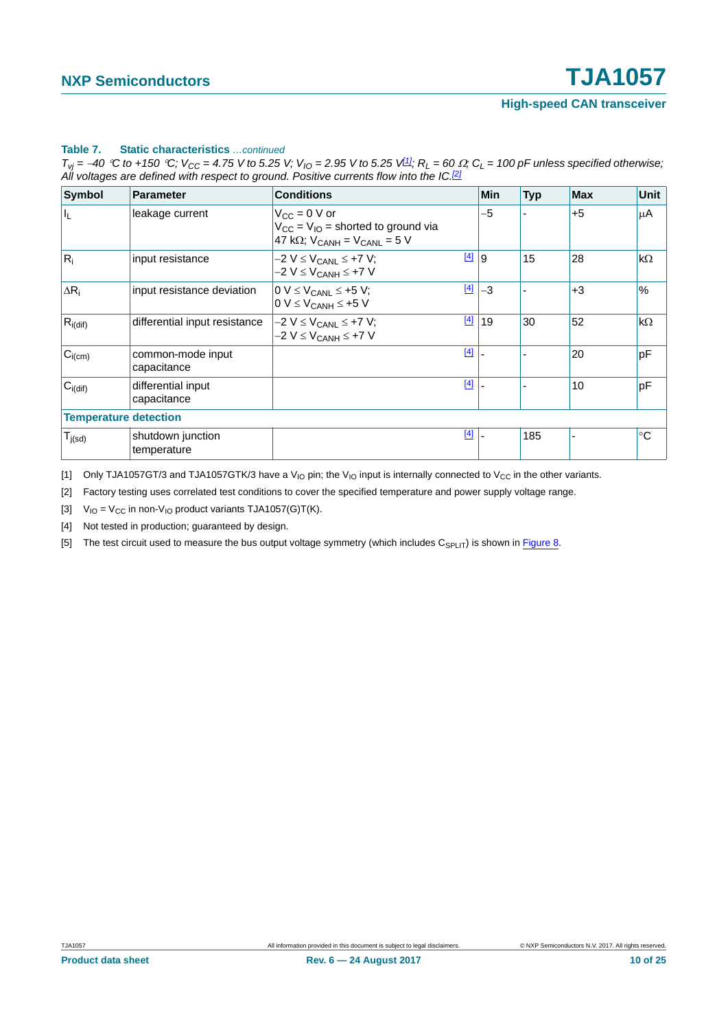#### **Table 7. Static characteristics** *…continued*

 $T_{Vj}$  = -40 °C to +150 °C;  $V_{CC}$  = 4.75 V to 5.25 V;  $V_{IO}$  = 2.95 V to 5.25 V<sup>[1]</sup>;  $R_L$  = 60  $\Omega$ ;  $C_L$  = 100 pF unless specified otherwise; *All voltages are defined with respect to ground. Positive currents flow into the IC.[2]*

| <b>Symbol</b>                | <b>Parameter</b>                  | <b>Conditions</b>                                                                                               | Min  | <b>Typ</b> | <b>Max</b> | <b>Unit</b>  |
|------------------------------|-----------------------------------|-----------------------------------------------------------------------------------------------------------------|------|------------|------------|--------------|
| $\mathsf{I}_\mathsf{L}$      | leakage current                   | $V_{CC} = 0 V$ or<br>$V_{CC} = V_{IO}$ = shorted to ground via<br>47 k $\Omega$ ; $V_{CANH}$ = $V_{CANL}$ = 5 V | $-5$ |            | $+5$       | μA           |
| $R_i$                        | input resistance                  | $[4]$<br>$-2$ V $\leq$ V <sub>CANI</sub> $\leq$ +7 V;<br>$-2 V \leq V_{CANH} \leq +7 V$                         | 9    | 15         | 28         | $k\Omega$    |
| $\Delta R_i$                 | input resistance deviation        | $[4]$<br>$0 V \leq V_{CANL} \leq +5 V$ ;<br>$0 V \leq V_{CANH} \leq +5 V$                                       | $-3$ |            | $+3$       | $\%$         |
| $R_{i(dif)}$                 | differential input resistance     | $[4]$<br>$-2$ V $\leq$ V <sub>CANL</sub> $\leq$ +7 V;<br>$-2$ V $\leq$ V <sub>CANH</sub> $\leq$ +7 V            | 19   | 30         | 52         | $k\Omega$    |
| $C_{i(cm)}$                  | common-mode input<br>capacitance  | $[4]$                                                                                                           |      |            | 20         | pF           |
| $C_{i(dif)}$                 | differential input<br>capacitance | $[4]$                                                                                                           |      |            | 10         | pF           |
| <b>Temperature detection</b> |                                   |                                                                                                                 |      |            |            |              |
| $T_{j(sd)}$                  | shutdown junction<br>temperature  | $[4]$                                                                                                           |      | 185        |            | $^{\circ}$ C |

<span id="page-9-0"></span>[1] Only TJA1057GT/3 and TJA1057GTK/3 have a V<sub>IO</sub> pin; the V<sub>IO</sub> input is internally connected to V<sub>CC</sub> in the other variants.

<span id="page-9-1"></span>[2] Factory testing uses correlated test conditions to cover the specified temperature and power supply voltage range.

<span id="page-9-2"></span>[3]  $V_{IO} = V_{CC}$  in non- $V_{IO}$  product variants TJA1057(G)T(K).

<span id="page-9-3"></span>[4] Not tested in production; guaranteed by design.

<span id="page-9-4"></span>[5] The test circuit used to measure the bus output voltage symmetry (which includes  $C_{SPLIT}$ ) is shown in [Figure 8](#page-13-0).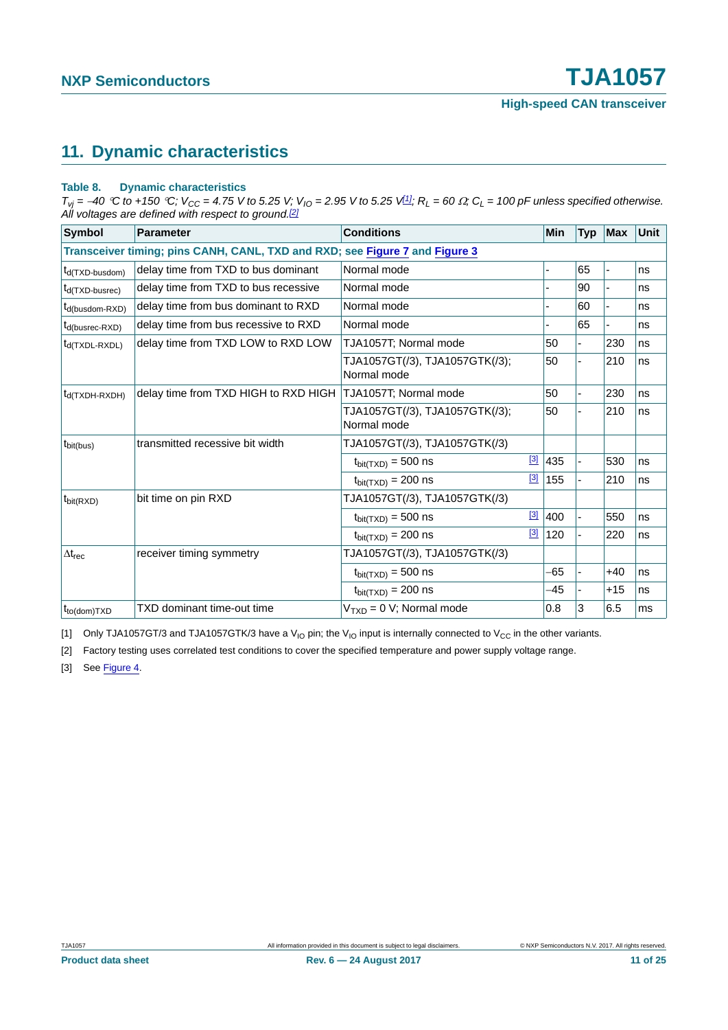# <span id="page-10-3"></span>**11. Dynamic characteristics**

#### **Table 8. Dynamic characteristics**

 $T_{Vj}$  = -40 °C to +150 °C;  $V_{CC}$  = 4.75 V to 5.25 V;  $V_{IO}$  = 2.95 V to 5.25 V<sup>[1]</sup>;  $R_L$  = 60  $\Omega$ ;  $C_L$  = 100 pF unless specified otherwise. *All voltages are defined with respect to ground.[\[2\]](#page-10-1)*

| <b>Symbol</b>                                                               | <b>Parameter</b>                     | <b>Conditions</b>                             |             | Min                      | <b>Typ</b>               | <b>Max</b> | <b>Unit</b> |  |  |
|-----------------------------------------------------------------------------|--------------------------------------|-----------------------------------------------|-------------|--------------------------|--------------------------|------------|-------------|--|--|
| Transceiver timing; pins CANH, CANL, TXD and RXD; see Figure 7 and Figure 3 |                                      |                                               |             |                          |                          |            |             |  |  |
| t <sub>d</sub> (TXD-busdom)                                                 | delay time from TXD to bus dominant  | Normal mode                                   |             |                          | 65                       | ä,         | ns          |  |  |
| $t_{d(TXD-busrec)}$                                                         | delay time from TXD to bus recessive | Normal mode                                   |             | $\overline{\phantom{0}}$ | 90                       | ÷,         | ns          |  |  |
| $t_{d(busdom-RXD)}$                                                         | delay time from bus dominant to RXD  | Normal mode                                   |             |                          | 60                       |            | ns          |  |  |
| $t_{d(busrec-RXD)}$                                                         | delay time from bus recessive to RXD | Normal mode                                   |             |                          | 65                       | ÷,         | ns          |  |  |
| $t_{d(TXDL-RXDL)}$                                                          | delay time from TXD LOW to RXD LOW   | TJA1057T; Normal mode                         |             | 50                       |                          | 230        | ns          |  |  |
|                                                                             |                                      | TJA1057GT(/3), TJA1057GTK(/3);<br>Normal mode |             | 50                       | ÷,                       | 210        | ns          |  |  |
| $t_{d(TXDH-RXDH)}$                                                          | delay time from TXD HIGH to RXD HIGH | TJA1057T; Normal mode                         |             | 50                       | $\overline{\phantom{0}}$ | 230        | ns          |  |  |
|                                                                             |                                      | TJA1057GT(/3), TJA1057GTK(/3);<br>Normal mode |             | 50                       |                          | 210        | ns          |  |  |
| $t_{\text{bit(bus)}}$                                                       | transmitted recessive bit width      | TJA1057GT(/3), TJA1057GTK(/3)                 |             |                          |                          |            |             |  |  |
|                                                                             |                                      | $t_{\text{bit(TXD)}} = 500$ ns                | $\boxed{3}$ | 435                      |                          | 530        | ns          |  |  |
|                                                                             |                                      | $t_{\text{bit(TXD)}} = 200$ ns                | $\boxed{3}$ | 155                      |                          | 210        | ns          |  |  |
| $t_{\text{bit(RXD)}}$                                                       | bit time on pin RXD                  | TJA1057GT(/3), TJA1057GTK(/3)                 |             |                          |                          |            |             |  |  |
|                                                                             |                                      | $t_{\text{bit(TXD)}} = 500$ ns                |             | $\frac{3}{2}$ 400        | ä,                       | 550        | ns          |  |  |
|                                                                             |                                      | $t_{\text{bit(TXD)}} = 200$ ns                | $\boxed{3}$ | 120                      |                          | 220        | ns          |  |  |
| $\Delta t_{rec}$                                                            | receiver timing symmetry             | TJA1057GT(/3), TJA1057GTK(/3)                 |             |                          |                          |            |             |  |  |
|                                                                             |                                      | $t_{\text{bit(TXD)}} = 500$ ns                |             | -65                      |                          | $+40$      | ns          |  |  |
|                                                                             |                                      | $t_{\text{bit(TXD)}} = 200$ ns                |             | -45                      |                          | $+15$      | ns          |  |  |
| $t_{\text{to}(\text{dom})\text{T}X\text{D}}$                                | TXD dominant time-out time           | $VTXD = 0 V$ ; Normal mode                    |             | 0.8                      | 3                        | 6.5        | ms          |  |  |

<span id="page-10-0"></span>[1] Only TJA1057GT/3 and TJA1057GTK/3 have a V<sub>IO</sub> pin; the V<sub>IO</sub> input is internally connected to V<sub>CC</sub> in the other variants.

<span id="page-10-1"></span>[2] Factory testing uses correlated test conditions to cover the specified temperature and power supply voltage range.

<span id="page-10-2"></span>[3] See [Figure 4.](#page-11-1)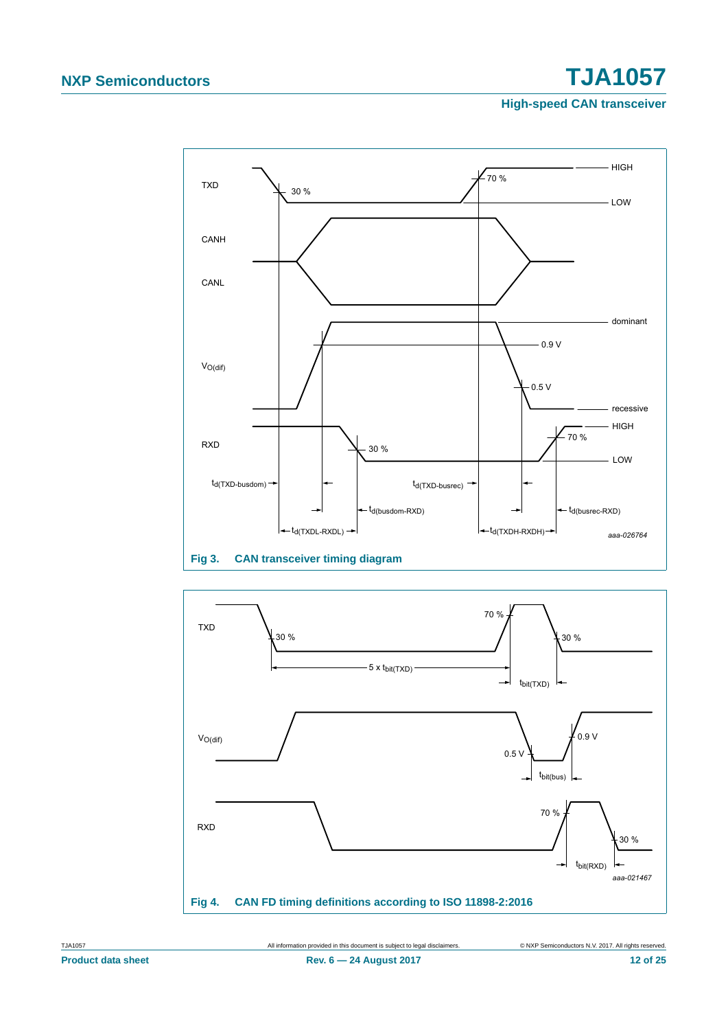# **NXP Semiconductors TJA1057**

**High-speed CAN transceiver**



<span id="page-11-0"></span>

<span id="page-11-1"></span>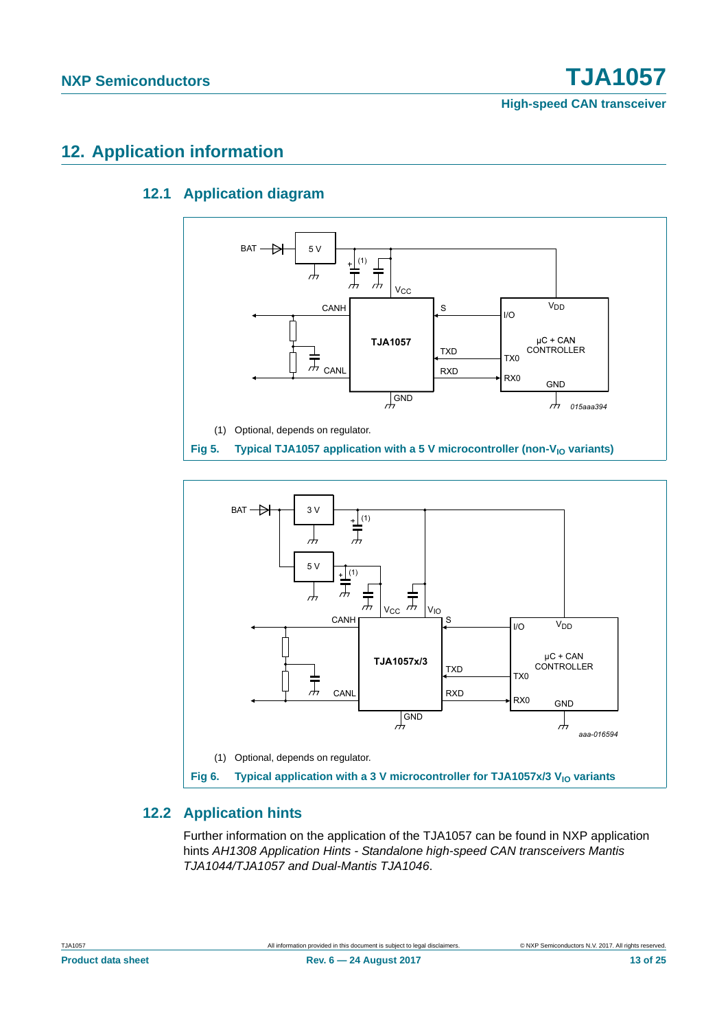# <span id="page-12-4"></span><span id="page-12-3"></span>**12. Application information**

### **12.1 Application diagram**



<span id="page-12-1"></span>

### <span id="page-12-2"></span><span id="page-12-0"></span>**12.2 Application hints**

Further information on the application of the TJA1057 can be found in NXP application hints *AH1308 Application Hints - Standalone high-speed CAN transceivers Mantis TJA1044/TJA1057 and Dual-Mantis TJA1046*.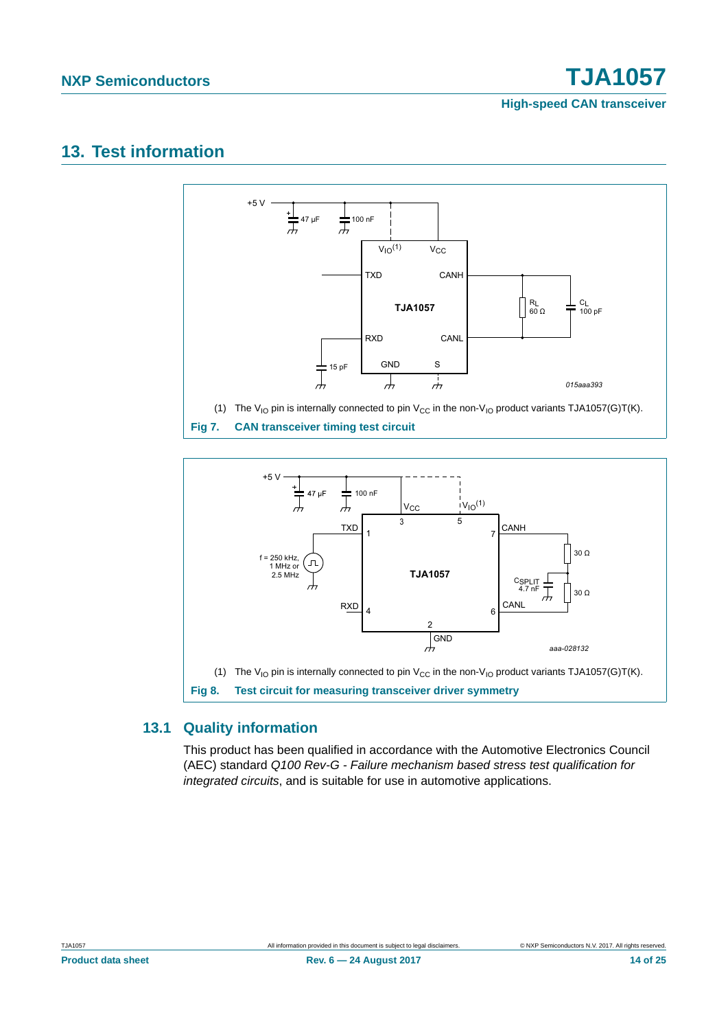# <span id="page-13-2"></span>**13. Test information**



<span id="page-13-1"></span>

### <span id="page-13-3"></span><span id="page-13-0"></span>**13.1 Quality information**

This product has been qualified in accordance with the Automotive Electronics Council (AEC) standard *Q100 Rev-G - Failure mechanism based stress test qualification for integrated circuits*, and is suitable for use in automotive applications.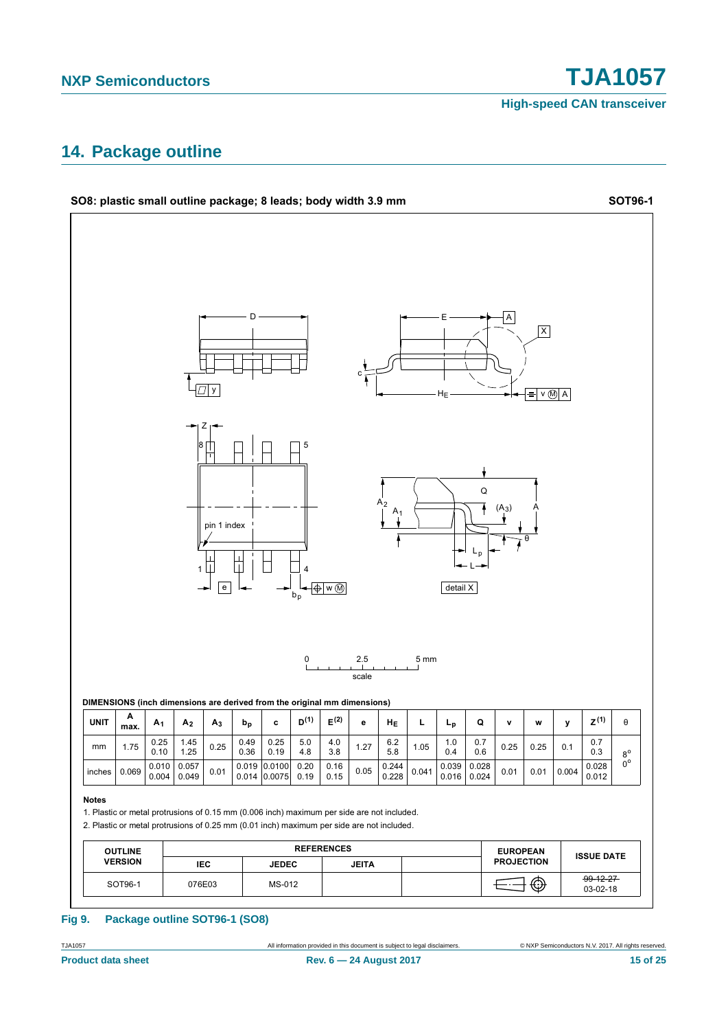# <span id="page-14-0"></span>**14. Package outline**



**NXP Semiconductors TJA1057**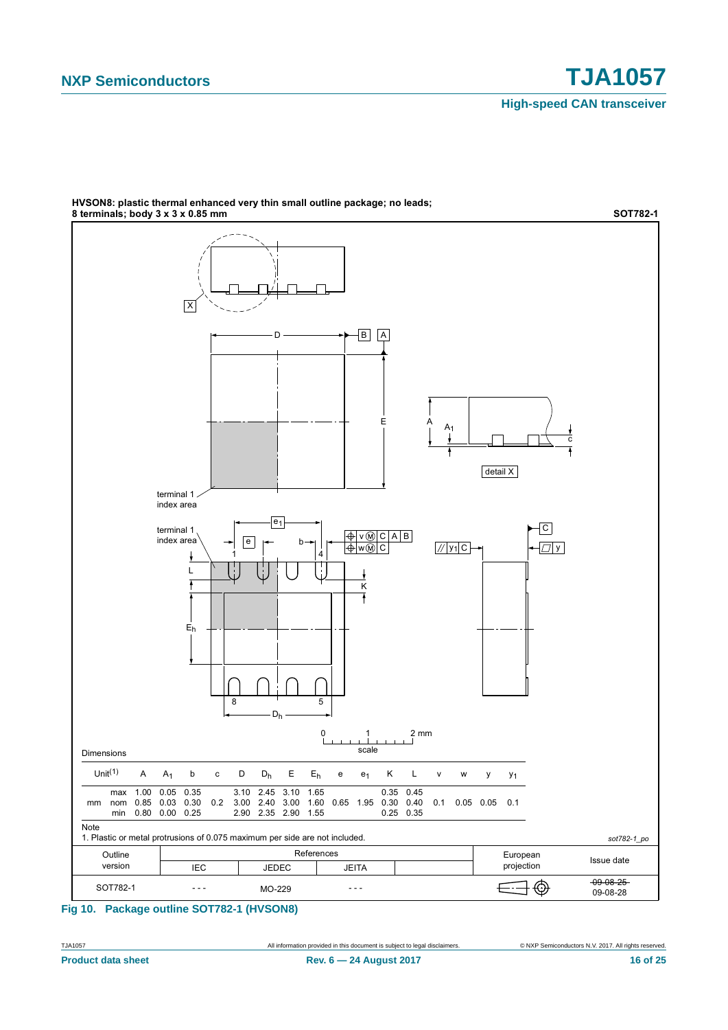

HVSON8: plastic thermal enhanced very thin small outline package; no leads; **WE CONSIDER THE CONSIDERED CONSIDERED** (1.1) The Collins Callins participate of the Collins of Considering SOTT82-1

#### **Fig 10. Package outline SOT782-1 (HVSON8)**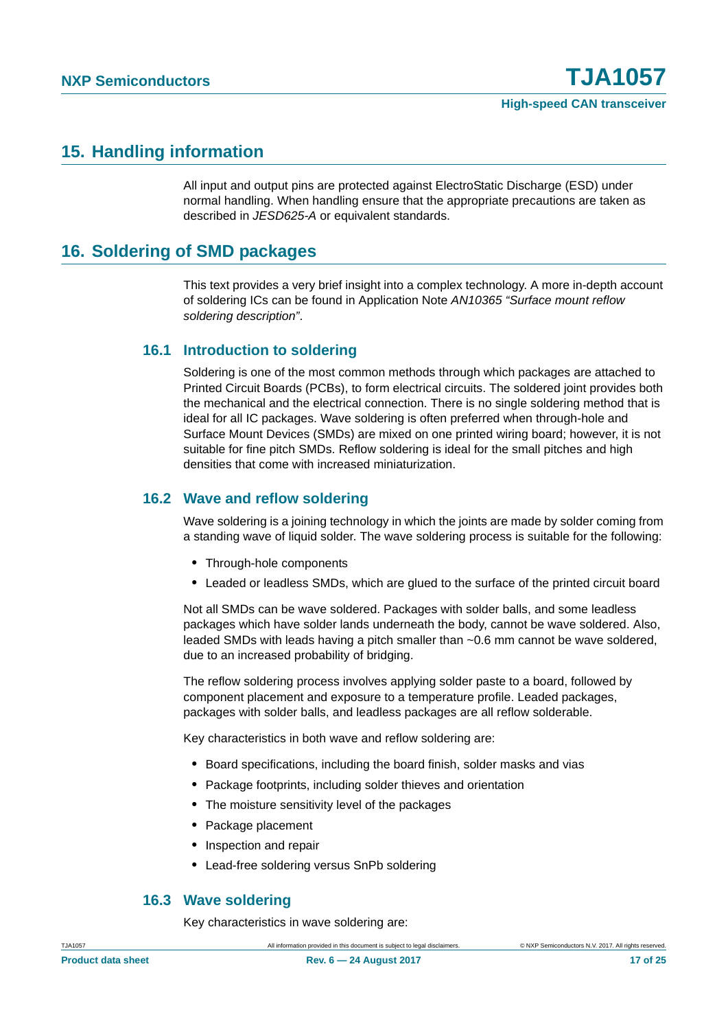### <span id="page-16-0"></span>**15. Handling information**

All input and output pins are protected against ElectroStatic Discharge (ESD) under normal handling. When handling ensure that the appropriate precautions are taken as described in *JESD625-A* or equivalent standards.

## <span id="page-16-1"></span>**16. Soldering of SMD packages**

This text provides a very brief insight into a complex technology. A more in-depth account of soldering ICs can be found in Application Note *AN10365 "Surface mount reflow soldering description"*.

### <span id="page-16-2"></span>**16.1 Introduction to soldering**

Soldering is one of the most common methods through which packages are attached to Printed Circuit Boards (PCBs), to form electrical circuits. The soldered joint provides both the mechanical and the electrical connection. There is no single soldering method that is ideal for all IC packages. Wave soldering is often preferred when through-hole and Surface Mount Devices (SMDs) are mixed on one printed wiring board; however, it is not suitable for fine pitch SMDs. Reflow soldering is ideal for the small pitches and high densities that come with increased miniaturization.

### <span id="page-16-3"></span>**16.2 Wave and reflow soldering**

Wave soldering is a joining technology in which the joints are made by solder coming from a standing wave of liquid solder. The wave soldering process is suitable for the following:

- **•** Through-hole components
- **•** Leaded or leadless SMDs, which are glued to the surface of the printed circuit board

Not all SMDs can be wave soldered. Packages with solder balls, and some leadless packages which have solder lands underneath the body, cannot be wave soldered. Also, leaded SMDs with leads having a pitch smaller than ~0.6 mm cannot be wave soldered, due to an increased probability of bridging.

The reflow soldering process involves applying solder paste to a board, followed by component placement and exposure to a temperature profile. Leaded packages, packages with solder balls, and leadless packages are all reflow solderable.

Key characteristics in both wave and reflow soldering are:

- **•** Board specifications, including the board finish, solder masks and vias
- **•** Package footprints, including solder thieves and orientation
- **•** The moisture sensitivity level of the packages
- **•** Package placement
- **•** Inspection and repair
- **•** Lead-free soldering versus SnPb soldering

#### <span id="page-16-4"></span>**16.3 Wave soldering**

Key characteristics in wave soldering are: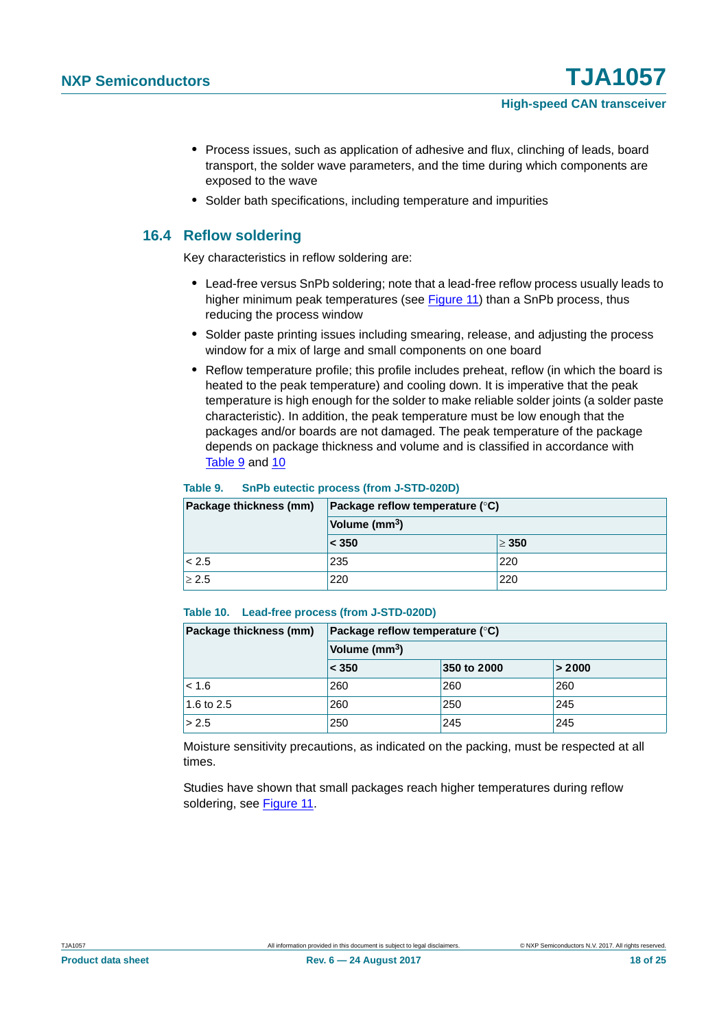- **•** Process issues, such as application of adhesive and flux, clinching of leads, board transport, the solder wave parameters, and the time during which components are exposed to the wave
- **•** Solder bath specifications, including temperature and impurities

### <span id="page-17-2"></span>**16.4 Reflow soldering**

Key characteristics in reflow soldering are:

- **•** Lead-free versus SnPb soldering; note that a lead-free reflow process usually leads to higher minimum peak temperatures (see [Figure 11\)](#page-18-0) than a SnPb process, thus reducing the process window
- **•** Solder paste printing issues including smearing, release, and adjusting the process window for a mix of large and small components on one board
- **•** Reflow temperature profile; this profile includes preheat, reflow (in which the board is heated to the peak temperature) and cooling down. It is imperative that the peak temperature is high enough for the solder to make reliable solder joints (a solder paste characteristic). In addition, the peak temperature must be low enough that the packages and/or boards are not damaged. The peak temperature of the package depends on package thickness and volume and is classified in accordance with [Table 9](#page-17-0) and [10](#page-17-1)

#### <span id="page-17-0"></span>**Table 9. SnPb eutectic process (from J-STD-020D)**

| Package thickness (mm) | Package reflow temperature $(^\circ \text{C})$ |            |  |  |  |
|------------------------|------------------------------------------------|------------|--|--|--|
|                        | Volume (mm <sup>3</sup> )                      |            |  |  |  |
|                        | < 350                                          | $\geq 350$ |  |  |  |
| < 2.5                  | 235                                            | 220        |  |  |  |
| $\geq 2.5$             | 220                                            | 220        |  |  |  |

#### <span id="page-17-1"></span>**Table 10. Lead-free process (from J-STD-020D)**

| Package thickness (mm) | Package reflow temperature $(^\circ \mathsf{C})$<br>Volume (mm <sup>3</sup> ) |             |        |  |  |
|------------------------|-------------------------------------------------------------------------------|-------------|--------|--|--|
|                        |                                                                               |             |        |  |  |
|                        | < 350                                                                         | 350 to 2000 | > 2000 |  |  |
| $ $ < 1.6              | 260                                                                           | 260         | 260    |  |  |
| 1.6 to 2.5             | 260                                                                           | 250         | 245    |  |  |
| > 2.5                  | 250                                                                           | 245         | 245    |  |  |

Moisture sensitivity precautions, as indicated on the packing, must be respected at all times.

Studies have shown that small packages reach higher temperatures during reflow soldering, see [Figure 11.](#page-18-0)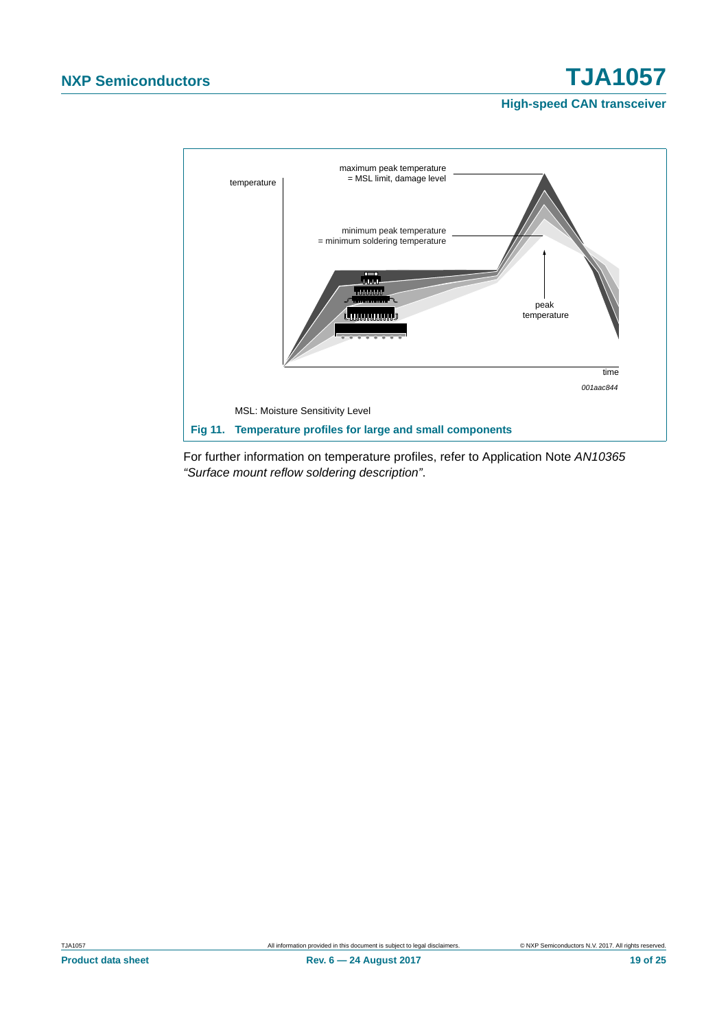

<span id="page-18-0"></span>For further information on temperature profiles, refer to Application Note *AN10365 "Surface mount reflow soldering description"*.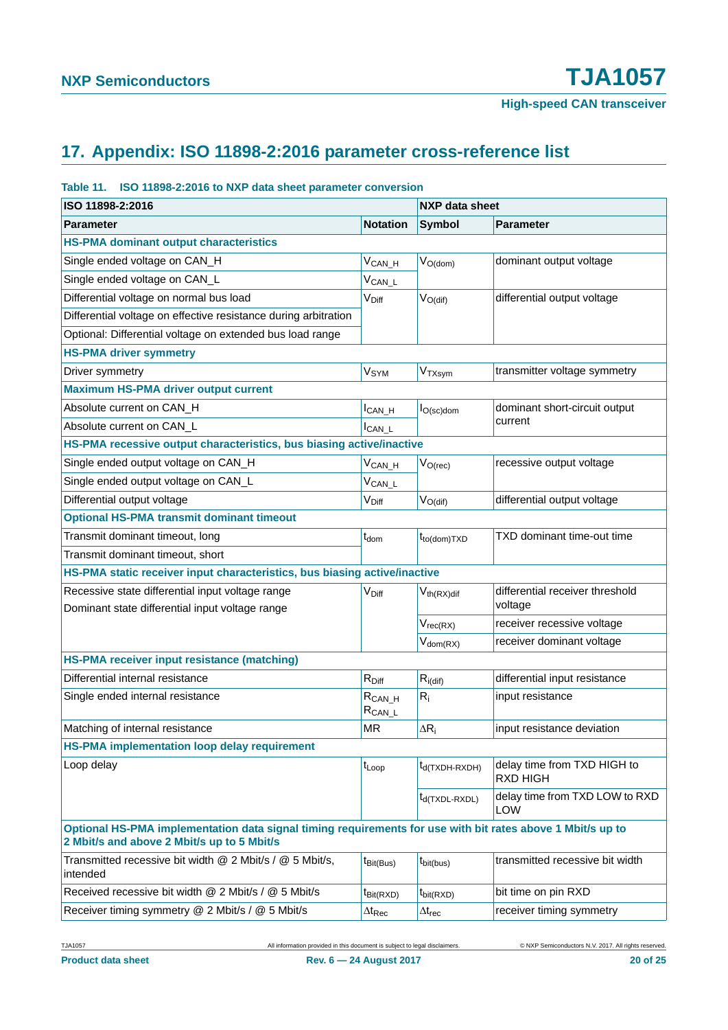# <span id="page-19-0"></span>**17. Appendix: ISO 11898-2:2016 parameter cross-reference list**

#### **Table 11. ISO 11898-2:2016 to NXP data sheet parameter conversion**

| ISO 11898-2:2016                                                                                                                                         |                             | <b>NXP data sheet</b>      |                                              |  |
|----------------------------------------------------------------------------------------------------------------------------------------------------------|-----------------------------|----------------------------|----------------------------------------------|--|
| <b>Parameter</b>                                                                                                                                         | <b>Notation</b>             | <b>Symbol</b>              | <b>Parameter</b>                             |  |
| <b>HS-PMA dominant output characteristics</b>                                                                                                            |                             |                            |                                              |  |
| Single ended voltage on CAN_H                                                                                                                            | $V_{CAN_H}$                 | $V_{O(dom)}$               | dominant output voltage                      |  |
| Single ended voltage on CAN_L                                                                                                                            | $V_{CAN\_L}$                |                            |                                              |  |
| Differential voltage on normal bus load                                                                                                                  | V <sub>Diff</sub>           | $V_{O(dif)}$               | differential output voltage                  |  |
| Differential voltage on effective resistance during arbitration                                                                                          |                             |                            |                                              |  |
| Optional: Differential voltage on extended bus load range                                                                                                |                             |                            |                                              |  |
| <b>HS-PMA driver symmetry</b>                                                                                                                            |                             |                            |                                              |  |
| Driver symmetry                                                                                                                                          | <b>V<sub>SYM</sub></b>      | $V_{TXsym}$                | transmitter voltage symmetry                 |  |
| <b>Maximum HS-PMA driver output current</b>                                                                                                              |                             |                            |                                              |  |
| Absolute current on CAN_H                                                                                                                                | $I_{CAN_H}$                 | $I_{O(\text{sc})$ dom      | dominant short-circuit output                |  |
| Absolute current on CAN_L                                                                                                                                | $I_{CAN\_L}$                |                            | current                                      |  |
| HS-PMA recessive output characteristics, bus biasing active/inactive                                                                                     |                             |                            |                                              |  |
| Single ended output voltage on CAN_H                                                                                                                     | $V_{CAN_H}$                 | $V_{O(rec)}$               | recessive output voltage                     |  |
| Single ended output voltage on CAN_L                                                                                                                     | $V_{CAN\_L}$                |                            |                                              |  |
| Differential output voltage                                                                                                                              | V <sub>Diff</sub>           | $V_{O(di)}$                | differential output voltage                  |  |
| <b>Optional HS-PMA transmit dominant timeout</b>                                                                                                         |                             |                            |                                              |  |
| Transmit dominant timeout, long                                                                                                                          | $t_{\mathsf{dom}}$          | $t_{to (dom)TXD}$          | TXD dominant time-out time                   |  |
| Transmit dominant timeout, short                                                                                                                         |                             |                            |                                              |  |
| HS-PMA static receiver input characteristics, bus biasing active/inactive                                                                                |                             |                            |                                              |  |
| Recessive state differential input voltage range                                                                                                         | V <sub>Diff</sub>           | $V_{th(RX)$ dif            | differential receiver threshold<br>voltage   |  |
| Dominant state differential input voltage range                                                                                                          |                             |                            |                                              |  |
|                                                                                                                                                          |                             | $V_{rec(RX)}$              | receiver recessive voltage                   |  |
|                                                                                                                                                          |                             | $V_{dom(RX)}$              | receiver dominant voltage                    |  |
| HS-PMA receiver input resistance (matching)                                                                                                              |                             |                            |                                              |  |
| Differential internal resistance                                                                                                                         | $R_{Diff}$                  | $R_{i\text{(dif)}}$        | differential input resistance                |  |
| Single ended internal resistance                                                                                                                         | $R_{CAN_H}$<br>$R_{CAN\_L}$ | $R_i$                      | input resistance                             |  |
| Matching of internal resistance                                                                                                                          | <b>MR</b>                   | $\Delta R_i$               | input resistance deviation                   |  |
| <b>HS-PMA implementation loop delay requirement</b>                                                                                                      |                             |                            |                                              |  |
| Loop delay                                                                                                                                               | t <sub>Loop</sub>           | t <sub>d</sub> (TXDH-RXDH) | delay time from TXD HIGH to<br>RXD HIGH      |  |
|                                                                                                                                                          |                             | $t_{d(TXDL-RXDL)}$         | delay time from TXD LOW to RXD<br><b>LOW</b> |  |
| Optional HS-PMA implementation data signal timing requirements for use with bit rates above 1 Mbit/s up to<br>2 Mbit/s and above 2 Mbit/s up to 5 Mbit/s |                             |                            |                                              |  |
| Transmitted recessive bit width @ 2 Mbit/s / @ 5 Mbit/s,<br>intended                                                                                     | $t_{\text{Bit(Bus)}}$       | $t_{\text{bit(bus)}}$      | transmitted recessive bit width              |  |
| Received recessive bit width @ 2 Mbit/s / @ 5 Mbit/s                                                                                                     | $t_{\text{Bit(RXD)}}$       | $t_{\text{bit(RXD)}}$      | bit time on pin RXD                          |  |
| Receiver timing symmetry @ 2 Mbit/s / @ 5 Mbit/s                                                                                                         | $\Delta t_\text{Rec}$       | $\Delta t_{rec}$           | receiver timing symmetry                     |  |

TJA1057 All information provided in this document is subject to legal disclaimers. © NXP Semiconductors N.V. 2017. All rights reserved.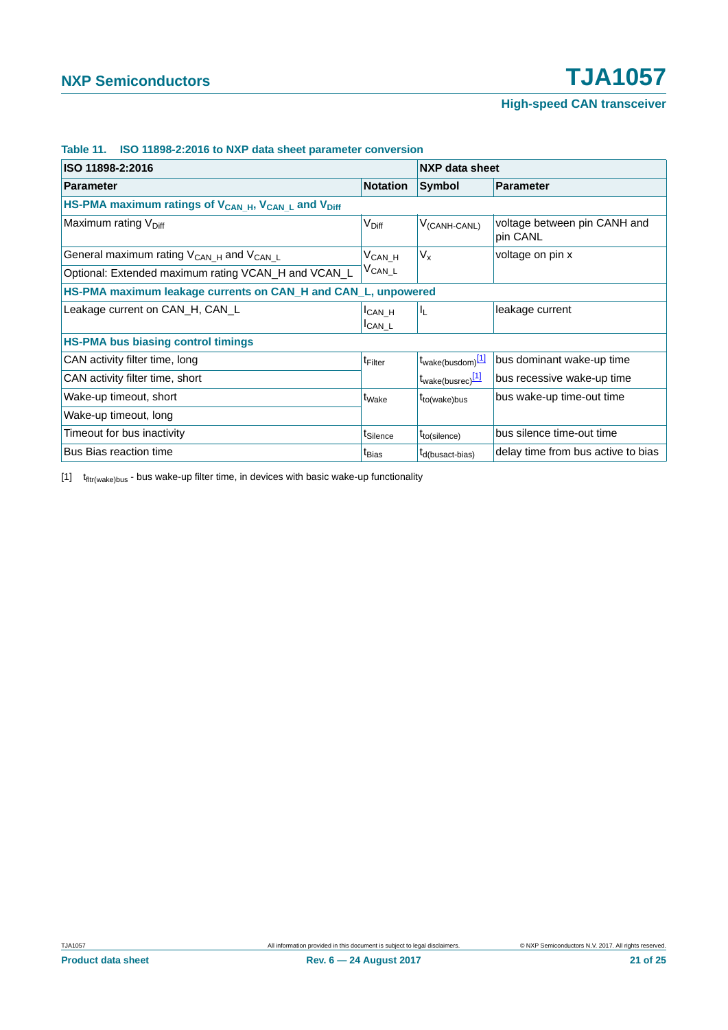| ISO 11898-2:2016                                                                        |                                     |                               | <b>NXP data sheet</b>                    |  |
|-----------------------------------------------------------------------------------------|-------------------------------------|-------------------------------|------------------------------------------|--|
| <b>Parameter</b>                                                                        | <b>Notation</b>                     | Symbol                        | <b>Parameter</b>                         |  |
| HS-PMA maximum ratings of V <sub>CAN_H</sub> , V <sub>CAN_L</sub> and V <sub>Diff</sub> |                                     |                               |                                          |  |
| Maximum rating V <sub>Diff</sub>                                                        | V <sub>Diff</sub>                   | $V_{(CANH-CANL)}$             | voltage between pin CANH and<br>pin CANL |  |
| General maximum rating V <sub>CAN_H</sub> and V <sub>CAN_L</sub>                        | V <sub>CANH</sub>                   | $V_{x}$                       | voltage on pin x                         |  |
| Optional: Extended maximum rating VCAN_H and VCAN_L                                     | $V_{CAN\_L}$                        |                               |                                          |  |
| HS-PMA maximum leakage currents on CAN_H and CAN_L, unpowered                           |                                     |                               |                                          |  |
| Leakage current on CAN_H, CAN_L                                                         | I <sub>CAN</sub> H<br><b>ICAN L</b> | $I_{L}$                       | leakage current                          |  |
| <b>HS-PMA bus biasing control timings</b>                                               |                                     |                               |                                          |  |
| CAN activity filter time, long                                                          | t <sub>Filter</sub>                 | t <sub>wake(busdom)</sub> [1] | bus dominant wake-up time                |  |
| CAN activity filter time, short                                                         |                                     | t <sub>wake(busrec)</sub> [1] | bus recessive wake-up time               |  |
| Wake-up timeout, short                                                                  | t <sub>Wake</sub>                   | $t_{to(wake)bus}$             | bus wake-up time-out time                |  |
| Wake-up timeout, long                                                                   |                                     |                               |                                          |  |
| Timeout for bus inactivity                                                              | t <sub>Silence</sub>                | $t_{to(silence)}$             | bus silence time-out time                |  |
| <b>Bus Bias reaction time</b>                                                           | t <sub>Bias</sub>                   | t <sub>d</sub> (busact-bias)  | delay time from bus active to bias       |  |

#### **Table 11. ISO 11898-2:2016 to NXP data sheet parameter conversion**

<span id="page-20-0"></span> $[1]$   $t$ <sub>fltr(wake)bus</sub> - bus wake-up filter time, in devices with basic wake-up functionality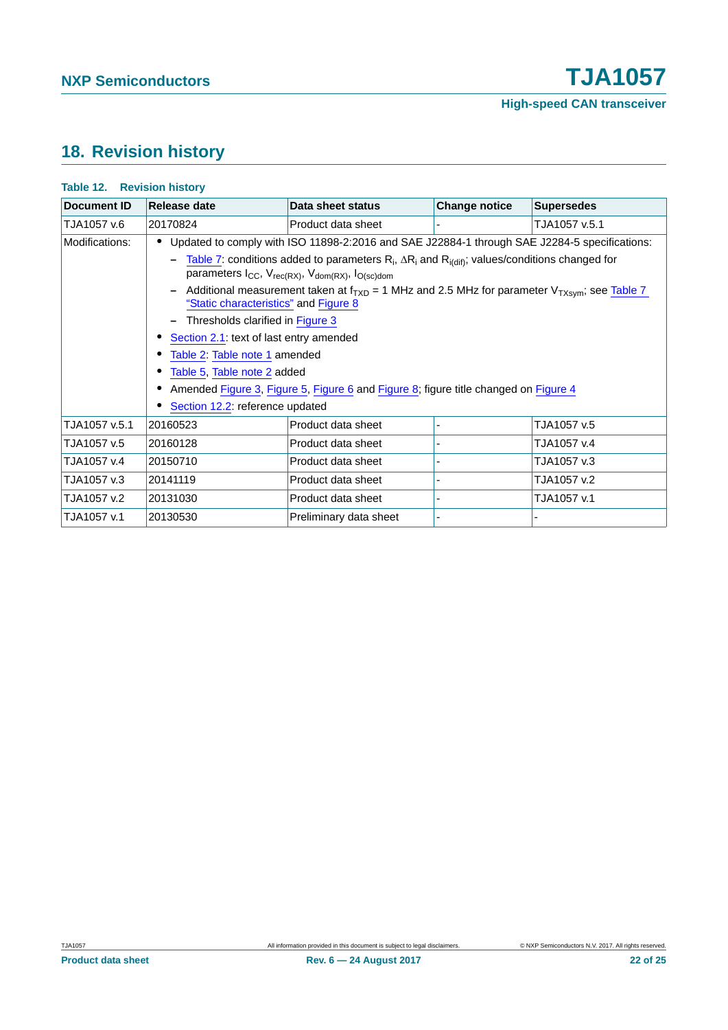# <span id="page-21-0"></span>**18. Revision history**

| <b>Table 12. Revision history</b>                                                                                                                                                               |                                                                                                                                                |                        |                      |                   |  |
|-------------------------------------------------------------------------------------------------------------------------------------------------------------------------------------------------|------------------------------------------------------------------------------------------------------------------------------------------------|------------------------|----------------------|-------------------|--|
| <b>Document ID</b>                                                                                                                                                                              | Release date                                                                                                                                   | Data sheet status      | <b>Change notice</b> | <b>Supersedes</b> |  |
| TJA1057 v.6                                                                                                                                                                                     | 20170824                                                                                                                                       | Product data sheet     |                      | TJA1057 v.5.1     |  |
| Modifications:                                                                                                                                                                                  | Updated to comply with ISO 11898-2:2016 and SAE J22884-1 through SAE J2284-5 specifications:                                                   |                        |                      |                   |  |
| Table 7: conditions added to parameters $R_i$ , $\Delta R_i$ and $R_i$ <sub>(dif)</sub> ; values/conditions changed for<br>parameters $I_{CC}$ , $V_{rec(RX)}$ , $V_{dom(RX)}$ , $I_{O(SC)dom}$ |                                                                                                                                                |                        |                      |                   |  |
|                                                                                                                                                                                                 | Additional measurement taken at $f_{TXD}$ = 1 MHz and 2.5 MHz for parameter $V_{TXsym}$ ; see Table 7<br>"Static characteristics" and Figure 8 |                        |                      |                   |  |
|                                                                                                                                                                                                 | Thresholds clarified in Figure 3                                                                                                               |                        |                      |                   |  |
|                                                                                                                                                                                                 | Section 2.1: text of last entry amended                                                                                                        |                        |                      |                   |  |
|                                                                                                                                                                                                 | Table 2: Table note 1 amended                                                                                                                  |                        |                      |                   |  |
|                                                                                                                                                                                                 | Table 5, Table note 2 added                                                                                                                    |                        |                      |                   |  |
|                                                                                                                                                                                                 | Amended Figure 3, Figure 5, Figure 6 and Figure 8; figure title changed on Figure 4                                                            |                        |                      |                   |  |
|                                                                                                                                                                                                 | Section 12.2: reference updated                                                                                                                |                        |                      |                   |  |
| TJA1057 v.5.1                                                                                                                                                                                   | 20160523                                                                                                                                       | Product data sheet     |                      | TJA1057 v.5       |  |
| TJA1057 v.5                                                                                                                                                                                     | 20160128                                                                                                                                       | Product data sheet     |                      | TJA1057 v.4       |  |
| TJA1057 v.4                                                                                                                                                                                     | 20150710                                                                                                                                       | Product data sheet     |                      | TJA1057 v.3       |  |
| TJA1057 v.3                                                                                                                                                                                     | 20141119                                                                                                                                       | Product data sheet     |                      | TJA1057 v.2       |  |
| TJA1057 v.2                                                                                                                                                                                     | 20131030                                                                                                                                       | Product data sheet     |                      | TJA1057 v.1       |  |
| TJA1057 v.1                                                                                                                                                                                     | 20130530                                                                                                                                       | Preliminary data sheet |                      |                   |  |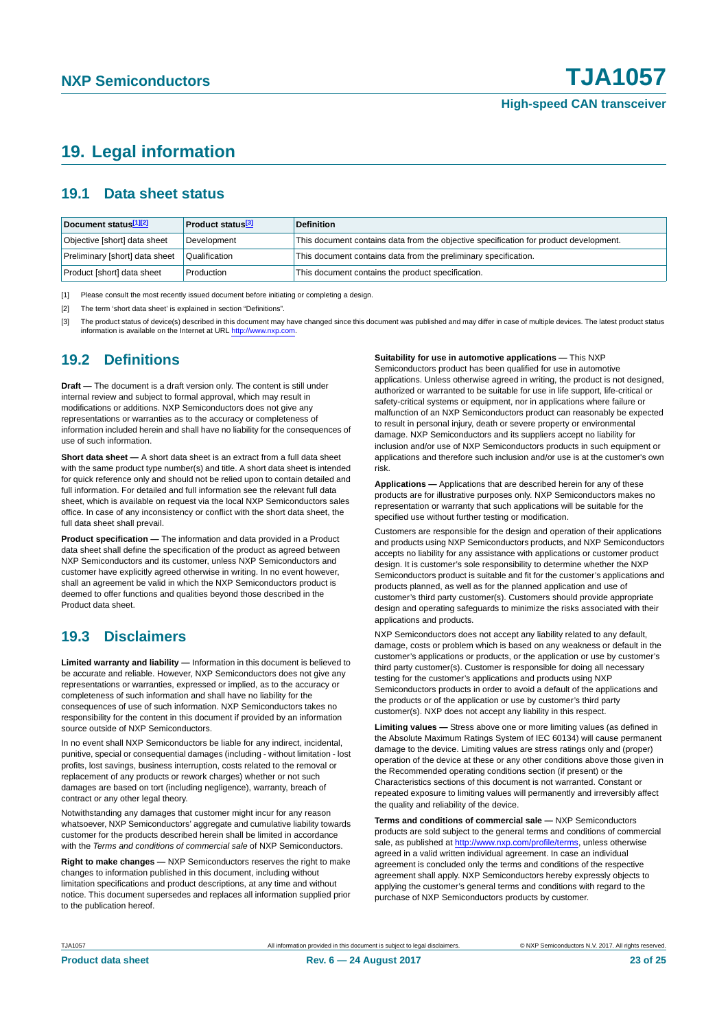# <span id="page-22-3"></span>**19. Legal information**

### <span id="page-22-4"></span>**19.1 Data sheet status**

| Document status[1][2]          | <b>Product status</b> <sup>[3]</sup> | <b>Definition</b>                                                                     |
|--------------------------------|--------------------------------------|---------------------------------------------------------------------------------------|
| Objective [short] data sheet   | Development                          | This document contains data from the objective specification for product development. |
| Preliminary [short] data sheet | Qualification                        | This document contains data from the preliminary specification.                       |
| Product [short] data sheet     | Production                           | This document contains the product specification.                                     |

<span id="page-22-0"></span>[1] Please consult the most recently issued document before initiating or completing a design.

<span id="page-22-1"></span>[2] The term 'short data sheet' is explained in section "Definitions".

<span id="page-22-2"></span>[3] The product status of device(s) described in this document may have changed since this document was published and may differ in case of multiple devices. The latest product status<br>information is available on the Intern

### <span id="page-22-5"></span>**19.2 Definitions**

**Draft —** The document is a draft version only. The content is still under internal review and subject to formal approval, which may result in modifications or additions. NXP Semiconductors does not give any representations or warranties as to the accuracy or completeness of information included herein and shall have no liability for the consequences of use of such information.

**Short data sheet —** A short data sheet is an extract from a full data sheet with the same product type number(s) and title. A short data sheet is intended for quick reference only and should not be relied upon to contain detailed and full information. For detailed and full information see the relevant full data sheet, which is available on request via the local NXP Semiconductors sales office. In case of any inconsistency or conflict with the short data sheet, the full data sheet shall prevail.

**Product specification —** The information and data provided in a Product data sheet shall define the specification of the product as agreed between NXP Semiconductors and its customer, unless NXP Semiconductors and customer have explicitly agreed otherwise in writing. In no event however, shall an agreement be valid in which the NXP Semiconductors product is deemed to offer functions and qualities beyond those described in the Product data sheet.

### <span id="page-22-6"></span>**19.3 Disclaimers**

**Limited warranty and liability —** Information in this document is believed to be accurate and reliable. However, NXP Semiconductors does not give any representations or warranties, expressed or implied, as to the accuracy or completeness of such information and shall have no liability for the consequences of use of such information. NXP Semiconductors takes no responsibility for the content in this document if provided by an information source outside of NXP Semiconductors.

In no event shall NXP Semiconductors be liable for any indirect, incidental, punitive, special or consequential damages (including - without limitation - lost profits, lost savings, business interruption, costs related to the removal or replacement of any products or rework charges) whether or not such damages are based on tort (including negligence), warranty, breach of contract or any other legal theory.

Notwithstanding any damages that customer might incur for any reason whatsoever, NXP Semiconductors' aggregate and cumulative liability towards customer for the products described herein shall be limited in accordance with the *Terms and conditions of commercial sale* of NXP Semiconductors.

**Right to make changes —** NXP Semiconductors reserves the right to make changes to information published in this document, including without limitation specifications and product descriptions, at any time and without notice. This document supersedes and replaces all information supplied prior to the publication hereof.

#### **Suitability for use in automotive applications —** This NXP

Semiconductors product has been qualified for use in automotive applications. Unless otherwise agreed in writing, the product is not designed, authorized or warranted to be suitable for use in life support, life-critical or safety-critical systems or equipment, nor in applications where failure or malfunction of an NXP Semiconductors product can reasonably be expected to result in personal injury, death or severe property or environmental damage. NXP Semiconductors and its suppliers accept no liability for inclusion and/or use of NXP Semiconductors products in such equipment or applications and therefore such inclusion and/or use is at the customer's own risk.

**Applications —** Applications that are described herein for any of these products are for illustrative purposes only. NXP Semiconductors makes no representation or warranty that such applications will be suitable for the specified use without further testing or modification.

Customers are responsible for the design and operation of their applications and products using NXP Semiconductors products, and NXP Semiconductors accepts no liability for any assistance with applications or customer product design. It is customer's sole responsibility to determine whether the NXP Semiconductors product is suitable and fit for the customer's applications and products planned, as well as for the planned application and use of customer's third party customer(s). Customers should provide appropriate design and operating safeguards to minimize the risks associated with their applications and products.

NXP Semiconductors does not accept any liability related to any default, damage, costs or problem which is based on any weakness or default in the customer's applications or products, or the application or use by customer's third party customer(s). Customer is responsible for doing all necessary testing for the customer's applications and products using NXP Semiconductors products in order to avoid a default of the applications and the products or of the application or use by customer's third party customer(s). NXP does not accept any liability in this respect.

**Limiting values —** Stress above one or more limiting values (as defined in the Absolute Maximum Ratings System of IEC 60134) will cause permanent damage to the device. Limiting values are stress ratings only and (proper) operation of the device at these or any other conditions above those given in the Recommended operating conditions section (if present) or the Characteristics sections of this document is not warranted. Constant or repeated exposure to limiting values will permanently and irreversibly affect the quality and reliability of the device.

**Terms and conditions of commercial sale —** NXP Semiconductors products are sold subject to the general terms and conditions of commercial sale, as published at<http://www.nxp.com/profile/terms>, unless otherwise agreed in a valid written individual agreement. In case an individual agreement is concluded only the terms and conditions of the respective agreement shall apply. NXP Semiconductors hereby expressly objects to applying the customer's general terms and conditions with regard to the purchase of NXP Semiconductors products by customer.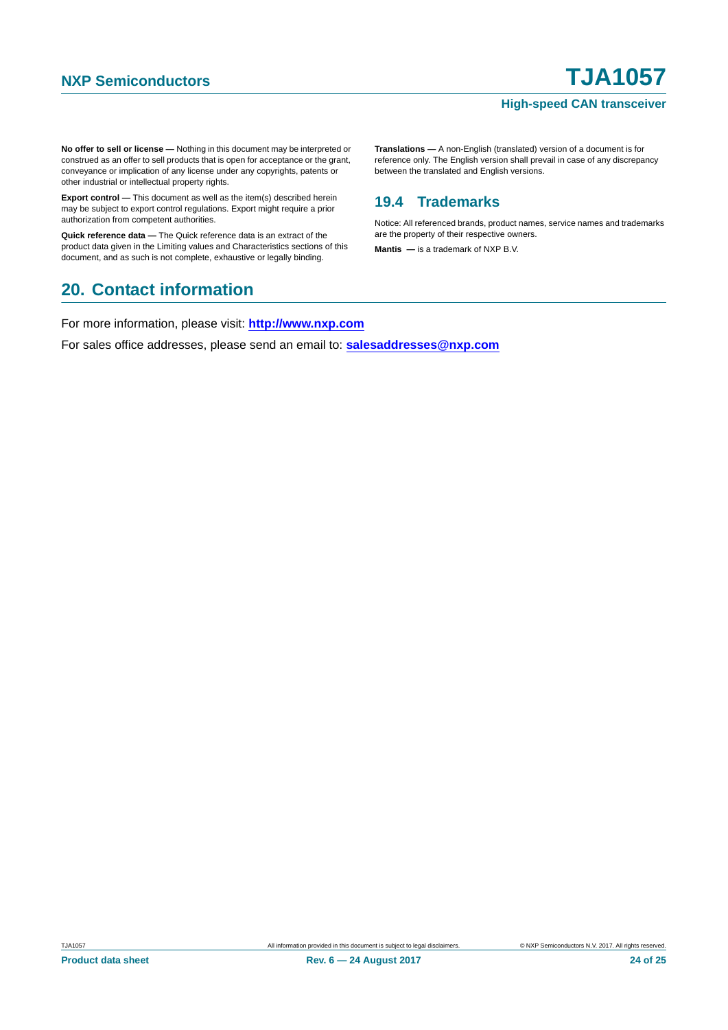**No offer to sell or license —** Nothing in this document may be interpreted or construed as an offer to sell products that is open for acceptance or the grant, conveyance or implication of any license under any copyrights, patents or other industrial or intellectual property rights.

**Export control —** This document as well as the item(s) described herein may be subject to export control regulations. Export might require a prior authorization from competent authorities.

**Quick reference data —** The Quick reference data is an extract of the product data given in the Limiting values and Characteristics sections of this document, and as such is not complete, exhaustive or legally binding.

## <span id="page-23-1"></span>**20. Contact information**

For more information, please visit: **http://www.nxp.com**

For sales office addresses, please send an email to: **salesaddresses@nxp.com**

**Translations —** A non-English (translated) version of a document is for reference only. The English version shall prevail in case of any discrepancy between the translated and English versions.

### <span id="page-23-0"></span>**19.4 Trademarks**

Notice: All referenced brands, product names, service names and trademarks are the property of their respective owners.

**Mantis —** is a trademark of NXP B.V.